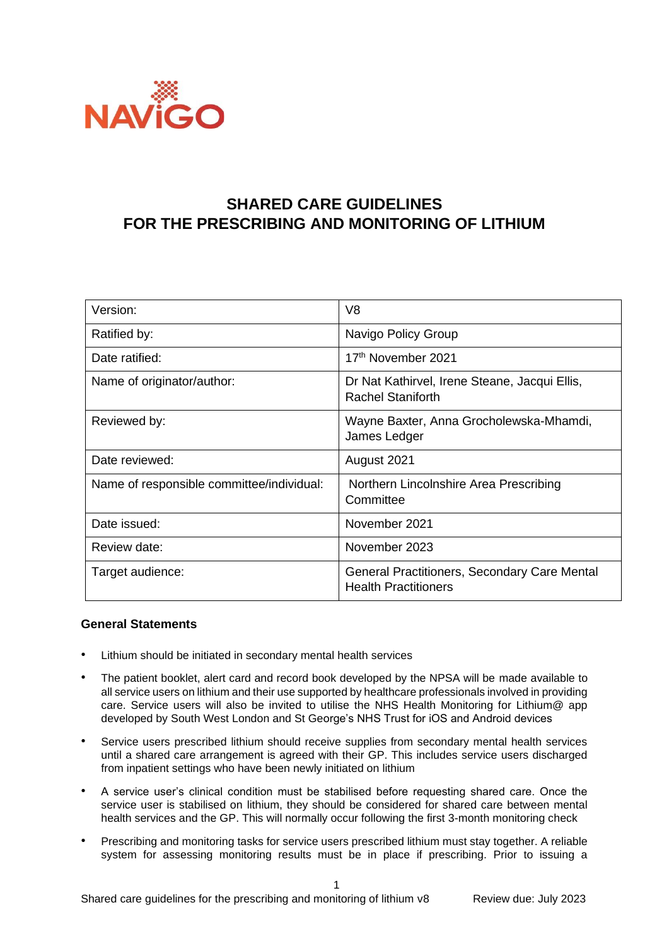

# **SHARED CARE GUIDELINES FOR THE PRESCRIBING AND MONITORING OF LITHIUM**

| Version:                                  | V8                                                                          |
|-------------------------------------------|-----------------------------------------------------------------------------|
| Ratified by:                              | Navigo Policy Group                                                         |
| Date ratified:                            | 17th November 2021                                                          |
| Name of originator/author:                | Dr Nat Kathirvel, Irene Steane, Jacqui Ellis,<br><b>Rachel Staniforth</b>   |
| Reviewed by:                              | Wayne Baxter, Anna Grocholewska-Mhamdi,<br>James Ledger                     |
| Date reviewed:                            | August 2021                                                                 |
| Name of responsible committee/individual: | Northern Lincolnshire Area Prescribing<br>Committee                         |
| Date issued:                              | November 2021                                                               |
| Review date:                              | November 2023                                                               |
| Target audience:                          | General Practitioners, Secondary Care Mental<br><b>Health Practitioners</b> |

#### **General Statements**

- Lithium should be initiated in secondary mental health services
- The patient booklet, alert card and record book developed by the NPSA will be made available to all service users on lithium and their use supported by healthcare professionals involved in providing care. Service users will also be invited to utilise the NHS Health Monitoring for Lithium@ app developed by South West London and St George's NHS Trust for iOS and Android devices
- Service users prescribed lithium should receive supplies from secondary mental health services until a shared care arrangement is agreed with their GP. This includes service users discharged from inpatient settings who have been newly initiated on lithium
- A service user's clinical condition must be stabilised before requesting shared care. Once the service user is stabilised on lithium, they should be considered for shared care between mental health services and the GP. This will normally occur following the first 3-month monitoring check
- Prescribing and monitoring tasks for service users prescribed lithium must stay together. A reliable system for assessing monitoring results must be in place if prescribing. Prior to issuing a

1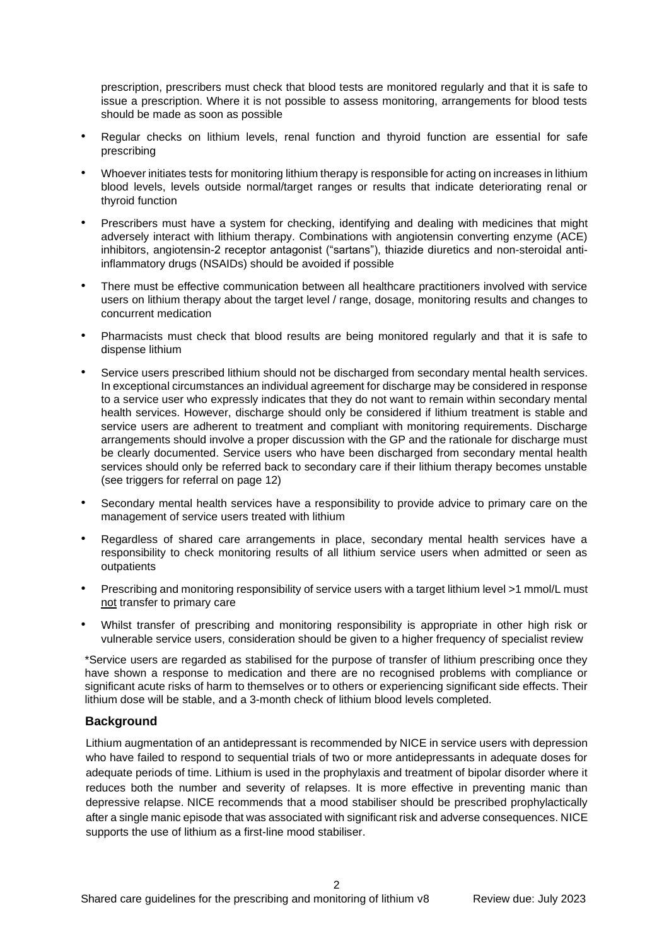prescription, prescribers must check that blood tests are monitored regularly and that it is safe to issue a prescription. Where it is not possible to assess monitoring, arrangements for blood tests should be made as soon as possible

- Regular checks on lithium levels, renal function and thyroid function are essential for safe prescribing
- Whoever initiates tests for monitoring lithium therapy is responsible for acting on increases in lithium blood levels, levels outside normal/target ranges or results that indicate deteriorating renal or thyroid function
- Prescribers must have a system for checking, identifying and dealing with medicines that might adversely interact with lithium therapy. Combinations with angiotensin converting enzyme (ACE) inhibitors, angiotensin-2 receptor antagonist ("sartans"), thiazide diuretics and non-steroidal antiinflammatory drugs (NSAIDs) should be avoided if possible
- There must be effective communication between all healthcare practitioners involved with service users on lithium therapy about the target level / range, dosage, monitoring results and changes to concurrent medication
- Pharmacists must check that blood results are being monitored regularly and that it is safe to dispense lithium
- Service users prescribed lithium should not be discharged from secondary mental health services. In exceptional circumstances an individual agreement for discharge may be considered in response to a service user who expressly indicates that they do not want to remain within secondary mental health services. However, discharge should only be considered if lithium treatment is stable and service users are adherent to treatment and compliant with monitoring requirements. Discharge arrangements should involve a proper discussion with the GP and the rationale for discharge must be clearly documented. Service users who have been discharged from secondary mental health services should only be referred back to secondary care if their lithium therapy becomes unstable (see triggers for referral on page 12)
- Secondary mental health services have a responsibility to provide advice to primary care on the management of service users treated with lithium
- Regardless of shared care arrangements in place, secondary mental health services have a responsibility to check monitoring results of all lithium service users when admitted or seen as outpatients
- Prescribing and monitoring responsibility of service users with a target lithium level >1 mmol/L must not transfer to primary care
- Whilst transfer of prescribing and monitoring responsibility is appropriate in other high risk or vulnerable service users, consideration should be given to a higher frequency of specialist review

\*Service users are regarded as stabilised for the purpose of transfer of lithium prescribing once they have shown a response to medication and there are no recognised problems with compliance or significant acute risks of harm to themselves or to others or experiencing significant side effects. Their lithium dose will be stable, and a 3-month check of lithium blood levels completed.

#### **Background**

Lithium augmentation of an antidepressant is recommended by NICE in service users with depression who have failed to respond to sequential trials of two or more antidepressants in adequate doses for adequate periods of time. Lithium is used in the prophylaxis and treatment of bipolar disorder where it reduces both the number and severity of relapses. It is more effective in preventing manic than depressive relapse. NICE recommends that a mood stabiliser should be prescribed prophylactically after a single manic episode that was associated with significant risk and adverse consequences. NICE supports the use of lithium as a first-line mood stabiliser.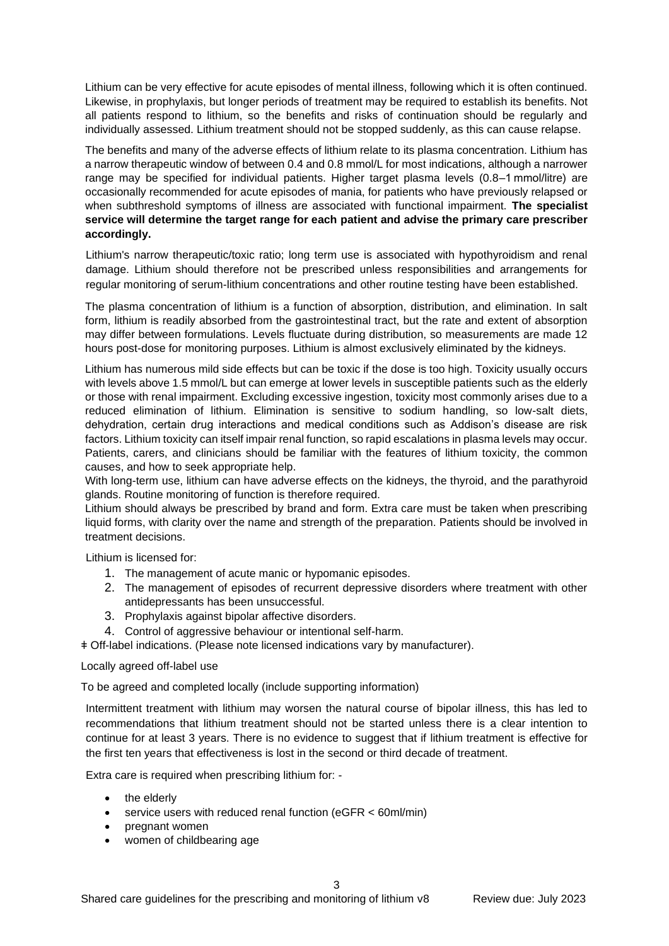Lithium can be very effective for acute episodes of mental illness, following which it is often continued. Likewise, in prophylaxis, but longer periods of treatment may be required to establish its benefits. Not all patients respond to lithium, so the benefits and risks of continuation should be regularly and individually assessed. Lithium treatment should not be stopped suddenly, as this can cause relapse.

The benefits and many of the adverse effects of lithium relate to its plasma concentration. Lithium has a narrow therapeutic window of between 0.4 and 0.8 mmol/L for most indications, although a narrower range may be specified for individual patients. Higher target plasma levels (0.8–1 mmol/litre) are occasionally recommended for acute episodes of mania, for patients who have previously relapsed or when subthreshold symptoms of illness are associated with functional impairment. **The specialist service will determine the target range for each patient and advise the primary care prescriber accordingly.** 

Lithium's narrow therapeutic/toxic ratio; long term use is associated with hypothyroidism and renal damage. Lithium should therefore not be prescribed unless responsibilities and arrangements for regular monitoring of serum-lithium concentrations and other routine testing have been established.

The plasma concentration of lithium is a function of absorption, distribution, and elimination. In salt form, lithium is readily absorbed from the gastrointestinal tract, but the rate and extent of absorption may differ between formulations. Levels fluctuate during distribution, so measurements are made 12 hours post-dose for monitoring purposes. Lithium is almost exclusively eliminated by the kidneys.

Lithium has numerous mild side effects but can be toxic if the dose is too high. Toxicity usually occurs with levels above 1.5 mmol/L but can emerge at lower levels in susceptible patients such as the elderly or those with renal impairment. Excluding excessive ingestion, toxicity most commonly arises due to a reduced elimination of lithium. Elimination is sensitive to sodium handling, so low-salt diets, dehydration, certain drug interactions and medical conditions such as Addison's disease are risk factors. Lithium toxicity can itself impair renal function, so rapid escalations in plasma levels may occur. Patients, carers, and clinicians should be familiar with the features of lithium toxicity, the common causes, and how to seek appropriate help.

With long-term use, lithium can have adverse effects on the kidneys, the thyroid, and the parathyroid glands. Routine monitoring of function is therefore required.

Lithium should always be prescribed by brand and form. Extra care must be taken when prescribing liquid forms, with clarity over the name and strength of the preparation. Patients should be involved in treatment decisions.

Lithium is licensed for:

- 1. The management of acute manic or hypomanic episodes.
- 2. The management of episodes of recurrent depressive disorders where treatment with other antidepressants has been unsuccessful.
- 3. Prophylaxis against bipolar affective disorders.
- 4. Control of aggressive behaviour or intentional self-harm.

ǂ Off-label indications. (Please note licensed indications vary by manufacturer).

Locally agreed off-label use

To be agreed and completed locally (include supporting information)

Intermittent treatment with lithium may worsen the natural course of bipolar illness, this has led to recommendations that lithium treatment should not be started unless there is a clear intention to continue for at least 3 years. There is no evidence to suggest that if lithium treatment is effective for the first ten years that effectiveness is lost in the second or third decade of treatment.

Extra care is required when prescribing lithium for: -

- the elderly
- service users with reduced renal function (eGFR < 60ml/min)
- pregnant women
- women of childbearing age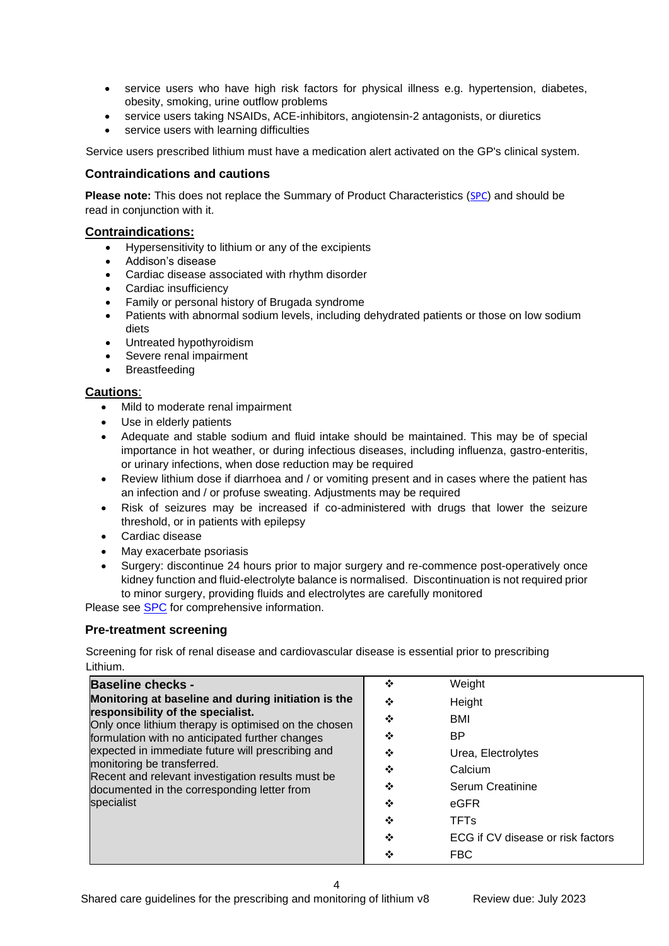- service users who have high risk factors for physical illness e.g. hypertension, diabetes, obesity, smoking, urine outflow problems
- service users taking NSAIDs, ACE-inhibitors, angiotensin-2 antagonists, or diuretics
- service users with learning difficulties

Service users prescribed lithium must have a medication alert activated on the GP's clinical system.

#### **Contraindications and cautions**

**Please note:** This does not replace the Summary of Product Characteristics ([SPC](https://products.mhra.gov.uk/)) and should be read in conjunction with it.

#### **Contraindications:**

- Hypersensitivity to lithium or any of the excipients
- Addison's disease
- Cardiac disease associated with rhythm disorder
- Cardiac insufficiency
- Family or personal history of Brugada syndrome
- Patients with abnormal sodium levels, including dehydrated patients or those on low sodium diets
- Untreated hypothyroidism
- Severe renal impairment
- **Breastfeeding**

# **Cautions**:

- Mild to moderate renal impairment
- Use in elderly patients
- Adequate and stable sodium and fluid intake should be maintained. This may be of special importance in hot weather, or during infectious diseases, including influenza, gastro-enteritis, or urinary infections, when dose reduction may be required
- Review lithium dose if diarrhoea and / or vomiting present and in cases where the patient has an infection and / or profuse sweating. Adjustments may be required
- Risk of seizures may be increased if co-administered with drugs that lower the seizure threshold, or in patients with epilepsy
- Cardiac disease
- May exacerbate psoriasis
- Surgery: discontinue 24 hours prior to major surgery and re-commence post-operatively once kidney function and fluid-electrolyte balance is normalised. Discontinuation is not required prior to minor surgery, providing fluids and electrolytes are carefully monitored

Please see [SPC](https://products.mhra.gov.uk/) for comprehensive information.

# **Pre-treatment screening**

Screening for risk of renal disease and cardiovascular disease is essential prior to prescribing Lithium.

| <b>Baseline checks -</b>                                                                                                                                                                                                               | ❖ | Weight                            |
|----------------------------------------------------------------------------------------------------------------------------------------------------------------------------------------------------------------------------------------|---|-----------------------------------|
| Monitoring at baseline and during initiation is the                                                                                                                                                                                    | ❖ | Height                            |
| responsibility of the specialist.<br>Only once lithium therapy is optimised on the chosen                                                                                                                                              | ❖ | <b>BMI</b>                        |
| formulation with no anticipated further changes<br>expected in immediate future will prescribing and<br>monitoring be transferred.<br>Recent and relevant investigation results must be<br>documented in the corresponding letter from | ❖ | BP                                |
|                                                                                                                                                                                                                                        | ❖ | Urea, Electrolytes                |
|                                                                                                                                                                                                                                        | ❖ | Calcium                           |
|                                                                                                                                                                                                                                        | ❖ | Serum Creatinine                  |
| specialist                                                                                                                                                                                                                             | ❖ | eGFR                              |
|                                                                                                                                                                                                                                        | ❖ | <b>TFTs</b>                       |
|                                                                                                                                                                                                                                        | ❖ | ECG if CV disease or risk factors |
|                                                                                                                                                                                                                                        | ❖ | <b>FBC</b>                        |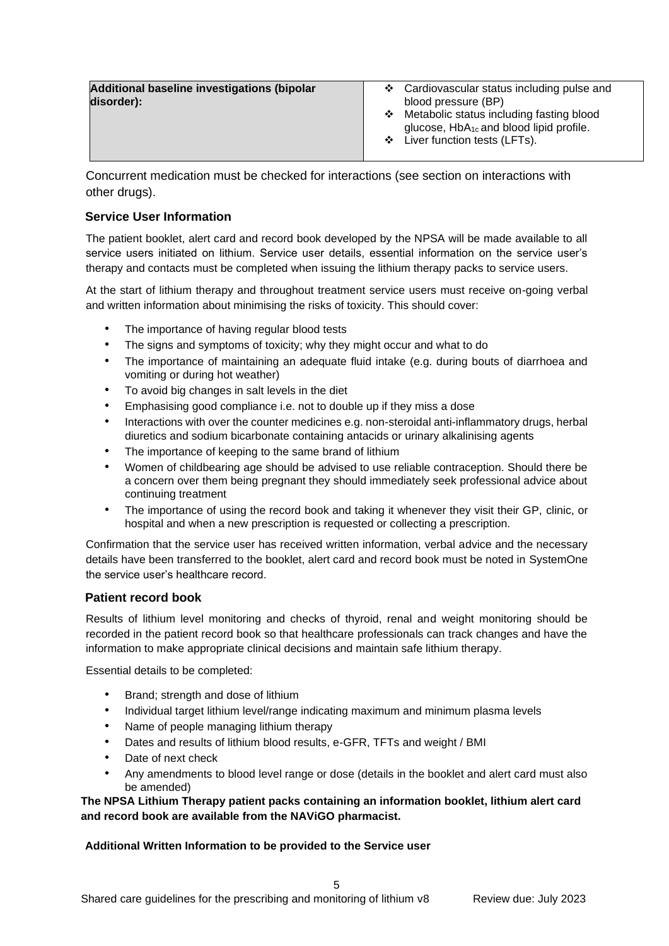| <b>Additional baseline investigations (bipolar</b><br>disorder): | Cardiovascular status including pulse and<br>❖<br>blood pressure (BP)<br>Metabolic status including fasting blood<br>❖<br>glucose, HbA <sub>1c</sub> and blood lipid profile.<br>Liver function tests (LFTs).<br>❖ |
|------------------------------------------------------------------|--------------------------------------------------------------------------------------------------------------------------------------------------------------------------------------------------------------------|
|                                                                  |                                                                                                                                                                                                                    |

Concurrent medication must be checked for interactions (see section on interactions with other drugs).

# **Service User Information**

The patient booklet, alert card and record book developed by the NPSA will be made available to all service users initiated on lithium. Service user details, essential information on the service user's therapy and contacts must be completed when issuing the lithium therapy packs to service users.

At the start of lithium therapy and throughout treatment service users must receive on-going verbal and written information about minimising the risks of toxicity. This should cover:

- The importance of having regular blood tests
- The signs and symptoms of toxicity; why they might occur and what to do
- The importance of maintaining an adequate fluid intake (e.g. during bouts of diarrhoea and vomiting or during hot weather)
- To avoid big changes in salt levels in the diet
- Emphasising good compliance i.e. not to double up if they miss a dose
- Interactions with over the counter medicines e.g. non-steroidal anti-inflammatory drugs, herbal diuretics and sodium bicarbonate containing antacids or urinary alkalinising agents
- The importance of keeping to the same brand of lithium
- Women of childbearing age should be advised to use reliable contraception. Should there be a concern over them being pregnant they should immediately seek professional advice about continuing treatment
- The importance of using the record book and taking it whenever they visit their GP, clinic, or hospital and when a new prescription is requested or collecting a prescription.

Confirmation that the service user has received written information, verbal advice and the necessary details have been transferred to the booklet, alert card and record book must be noted in SystemOne the service user's healthcare record.

#### **Patient record book**

Results of lithium level monitoring and checks of thyroid, renal and weight monitoring should be recorded in the patient record book so that healthcare professionals can track changes and have the information to make appropriate clinical decisions and maintain safe lithium therapy.

Essential details to be completed:

- Brand; strength and dose of lithium
- Individual target lithium level/range indicating maximum and minimum plasma levels
- Name of people managing lithium therapy
- Dates and results of lithium blood results, e-GFR, TFTs and weight / BMI
- Date of next check
- Any amendments to blood level range or dose (details in the booklet and alert card must also be amended)

**The NPSA Lithium Therapy patient packs containing an information booklet, lithium alert card and record book are available from the NAViGO pharmacist.** 

#### **Additional Written Information to be provided to the Service user**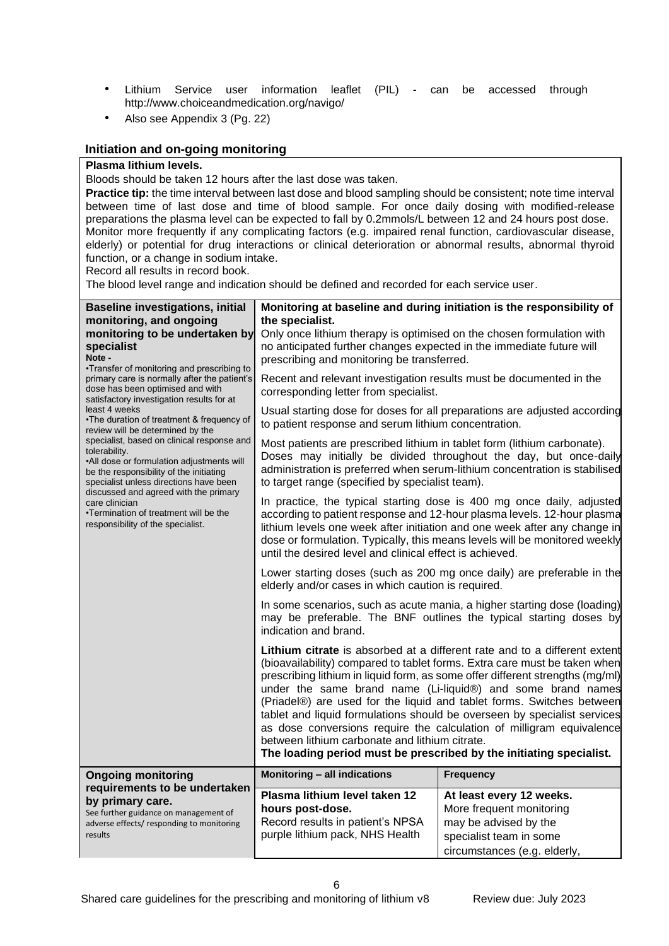- Lithium Service user information leaflet (PIL) can be accessed through http://www.choiceandmedication.org/navigo/
- Also see Appendix 3 (Pg. 22)

#### **Initiation and on-going monitoring**

#### **Plasma lithium levels.**

Bloods should be taken 12 hours after the last dose was taken.

**Practice tip:** the time interval between last dose and blood sampling should be consistent; note time interval between time of last dose and time of blood sample. For once daily dosing with modified-release preparations the plasma level can be expected to fall by 0.2mmols/L between 12 and 24 hours post dose. Monitor more frequently if any complicating factors (e.g. impaired renal function, cardiovascular disease, elderly) or potential for drug interactions or clinical deterioration or abnormal results, abnormal thyroid function, or a change in sodium intake.

Record all results in record book.

The blood level range and indication should be defined and recorded for each service user.

| <b>Baseline investigations, initial</b><br>monitoring, and ongoing                                                                                                                            | Monitoring at baseline and during initiation is the responsibility of<br>the specialist.                                                                                                                                                                                                                                                                                                                                                                                                                                                                                                                                                                     |                                                                                                                                          |  |
|-----------------------------------------------------------------------------------------------------------------------------------------------------------------------------------------------|--------------------------------------------------------------------------------------------------------------------------------------------------------------------------------------------------------------------------------------------------------------------------------------------------------------------------------------------------------------------------------------------------------------------------------------------------------------------------------------------------------------------------------------------------------------------------------------------------------------------------------------------------------------|------------------------------------------------------------------------------------------------------------------------------------------|--|
| monitoring to be undertaken by<br>specialist<br>Note -                                                                                                                                        | Only once lithium therapy is optimised on the chosen formulation with<br>no anticipated further changes expected in the immediate future will<br>prescribing and monitoring be transferred.                                                                                                                                                                                                                                                                                                                                                                                                                                                                  |                                                                                                                                          |  |
| •Transfer of monitoring and prescribing to<br>primary care is normally after the patient's<br>dose has been optimised and with<br>satisfactory investigation results for at                   | Recent and relevant investigation results must be documented in the<br>corresponding letter from specialist.                                                                                                                                                                                                                                                                                                                                                                                                                                                                                                                                                 |                                                                                                                                          |  |
| least 4 weeks<br>•The duration of treatment & frequency of<br>review will be determined by the                                                                                                | to patient response and serum lithium concentration.                                                                                                                                                                                                                                                                                                                                                                                                                                                                                                                                                                                                         | Usual starting dose for doses for all preparations are adjusted according                                                                |  |
| specialist, based on clinical response and<br>tolerability.<br>•All dose or formulation adjustments will<br>be the responsibility of the initiating<br>specialist unless directions have been | Most patients are prescribed lithium in tablet form (lithium carbonate).<br>Doses may initially be divided throughout the day, but once-daily<br>administration is preferred when serum-lithium concentration is stabilised<br>to target range (specified by specialist team).                                                                                                                                                                                                                                                                                                                                                                               |                                                                                                                                          |  |
| discussed and agreed with the primary<br>care clinician<br>•Termination of treatment will be the<br>responsibility of the specialist.                                                         | In practice, the typical starting dose is 400 mg once daily, adjusted<br>according to patient response and 12-hour plasma levels. 12-hour plasma<br>lithium levels one week after initiation and one week after any change in<br>dose or formulation. Typically, this means levels will be monitored weekly<br>until the desired level and clinical effect is achieved.                                                                                                                                                                                                                                                                                      |                                                                                                                                          |  |
|                                                                                                                                                                                               | Lower starting doses (such as 200 mg once daily) are preferable in the<br>elderly and/or cases in which caution is required.                                                                                                                                                                                                                                                                                                                                                                                                                                                                                                                                 |                                                                                                                                          |  |
|                                                                                                                                                                                               | In some scenarios, such as acute mania, a higher starting dose (loading)<br>may be preferable. The BNF outlines the typical starting doses by<br>indication and brand.                                                                                                                                                                                                                                                                                                                                                                                                                                                                                       |                                                                                                                                          |  |
|                                                                                                                                                                                               | Lithium citrate is absorbed at a different rate and to a different extent<br>(bioavailability) compared to tablet forms. Extra care must be taken when<br>prescribing lithium in liquid form, as some offer different strengths (mg/ml)<br>under the same brand name (Li-liquid®) and some brand names<br>(Priadel®) are used for the liquid and tablet forms. Switches between<br>tablet and liquid formulations should be overseen by specialist services<br>as dose conversions require the calculation of milligram equivalence<br>between lithium carbonate and lithium citrate.<br>The loading period must be prescribed by the initiating specialist. |                                                                                                                                          |  |
| <b>Ongoing monitoring</b>                                                                                                                                                                     | <b>Monitoring - all indications</b>                                                                                                                                                                                                                                                                                                                                                                                                                                                                                                                                                                                                                          | <b>Frequency</b>                                                                                                                         |  |
| requirements to be undertaken<br>by primary care.<br>See further guidance on management of<br>adverse effects/ responding to monitoring<br>results                                            | Plasma lithium level taken 12<br>hours post-dose.<br>Record results in patient's NPSA<br>purple lithium pack, NHS Health                                                                                                                                                                                                                                                                                                                                                                                                                                                                                                                                     | At least every 12 weeks.<br>More frequent monitoring<br>may be advised by the<br>specialist team in some<br>circumstances (e.g. elderly, |  |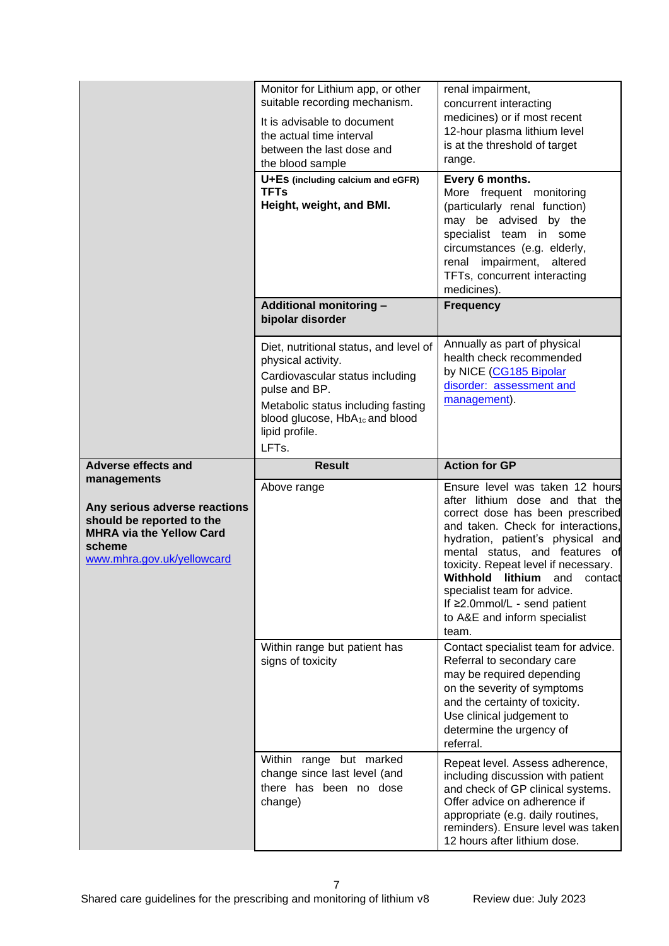|                                                                                                                                       | Monitor for Lithium app, or other<br>suitable recording mechanism.<br>It is advisable to document<br>the actual time interval<br>between the last dose and<br>the blood sample<br>U+Es (including calcium and eGFR)<br><b>TFTs</b><br>Height, weight, and BMI. | renal impairment,<br>concurrent interacting<br>medicines) or if most recent<br>12-hour plasma lithium level<br>is at the threshold of target<br>range.<br>Every 6 months.<br>More frequent monitoring<br>(particularly renal function)<br>may be advised by the<br>specialist team in some<br>circumstances (e.g. elderly,                                                                                |
|---------------------------------------------------------------------------------------------------------------------------------------|----------------------------------------------------------------------------------------------------------------------------------------------------------------------------------------------------------------------------------------------------------------|-----------------------------------------------------------------------------------------------------------------------------------------------------------------------------------------------------------------------------------------------------------------------------------------------------------------------------------------------------------------------------------------------------------|
|                                                                                                                                       | Additional monitoring -                                                                                                                                                                                                                                        | renal impairment, altered<br>TFTs, concurrent interacting<br>medicines).<br><b>Frequency</b>                                                                                                                                                                                                                                                                                                              |
|                                                                                                                                       | bipolar disorder                                                                                                                                                                                                                                               |                                                                                                                                                                                                                                                                                                                                                                                                           |
|                                                                                                                                       | Diet, nutritional status, and level of<br>physical activity.<br>Cardiovascular status including<br>pulse and BP.<br>Metabolic status including fasting<br>blood glucose, HbA <sub>1c</sub> and blood<br>lipid profile.<br>LFTs.                                | Annually as part of physical<br>health check recommended<br>by NICE (CG185 Bipolar<br>disorder: assessment and<br>management).                                                                                                                                                                                                                                                                            |
| <b>Adverse effects and</b><br>managements                                                                                             | <b>Result</b>                                                                                                                                                                                                                                                  | <b>Action for GP</b>                                                                                                                                                                                                                                                                                                                                                                                      |
|                                                                                                                                       |                                                                                                                                                                                                                                                                |                                                                                                                                                                                                                                                                                                                                                                                                           |
| Any serious adverse reactions<br>should be reported to the<br><b>MHRA via the Yellow Card</b><br>scheme<br>www.mhra.gov.uk/yellowcard | Above range                                                                                                                                                                                                                                                    | Ensure level was taken 12 hours<br>after lithium dose and that the<br>correct dose has been prescribed<br>and taken. Check for interactions,<br>hydration, patient's physical and<br>mental status, and features of<br>toxicity. Repeat level if necessary.<br>Withhold lithium and contact<br>specialist team for advice.<br>If $\geq$ 2.0mmol/L - send patient<br>to A&E and inform specialist<br>team. |
|                                                                                                                                       | Within range but patient has<br>signs of toxicity                                                                                                                                                                                                              | Contact specialist team for advice.<br>Referral to secondary care<br>may be required depending<br>on the severity of symptoms<br>and the certainty of toxicity.<br>Use clinical judgement to<br>determine the urgency of<br>referral.                                                                                                                                                                     |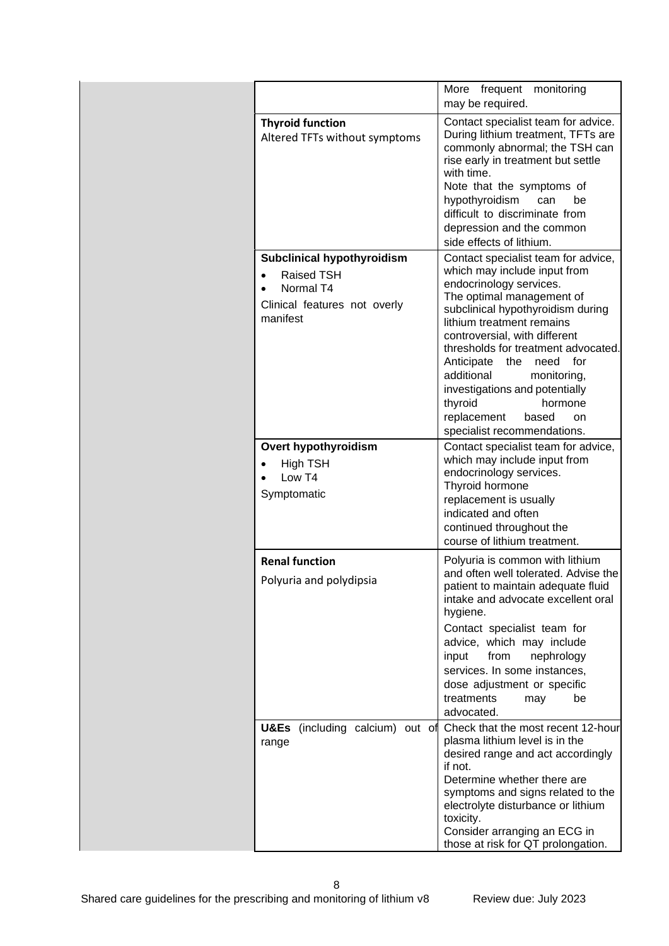|                                                                                                          | More frequent monitoring<br>may be required.                                                                                                                                                                                                                                                                                                                                                                                                          |
|----------------------------------------------------------------------------------------------------------|-------------------------------------------------------------------------------------------------------------------------------------------------------------------------------------------------------------------------------------------------------------------------------------------------------------------------------------------------------------------------------------------------------------------------------------------------------|
| <b>Thyroid function</b><br>Altered TFTs without symptoms                                                 | Contact specialist team for advice.<br>During lithium treatment, TFTs are<br>commonly abnormal; the TSH can<br>rise early in treatment but settle<br>with time.<br>Note that the symptoms of<br>hypothyroidism<br>can<br>be<br>difficult to discriminate from<br>depression and the common<br>side effects of lithium.                                                                                                                                |
| Subclinical hypothyroidism<br><b>Raised TSH</b><br>Normal T4<br>Clinical features not overly<br>manifest | Contact specialist team for advice,<br>which may include input from<br>endocrinology services.<br>The optimal management of<br>subclinical hypothyroidism during<br>lithium treatment remains<br>controversial, with different<br>thresholds for treatment advocated.<br>Anticipate the need<br>for<br>additional<br>monitoring,<br>investigations and potentially<br>thyroid<br>hormone<br>replacement<br>based<br>on<br>specialist recommendations. |
| Overt hypothyroidism<br>High TSH<br>Low T4<br>Symptomatic                                                | Contact specialist team for advice,<br>which may include input from<br>endocrinology services.<br>Thyroid hormone<br>replacement is usually<br>indicated and often<br>continued throughout the<br>course of lithium treatment.                                                                                                                                                                                                                        |
| <b>Renal function</b><br>Polyuria and polydipsia                                                         | Polyuria is common with lithium<br>and often well tolerated. Advise the<br>patient to maintain adequate fluid<br>intake and advocate excellent oral<br>hygiene.<br>Contact specialist team for<br>advice, which may include<br>input<br>from<br>nephrology<br>services. In some instances,<br>dose adjustment or specific<br>treatments<br>be<br>may<br>advocated.                                                                                    |
| U&Es<br>range                                                                                            | (including calcium) out of Check that the most recent 12-hour<br>plasma lithium level is in the<br>desired range and act accordingly<br>if not.<br>Determine whether there are<br>symptoms and signs related to the<br>electrolyte disturbance or lithium<br>toxicity.<br>Consider arranging an ECG in<br>those at risk for QT prolongation.                                                                                                          |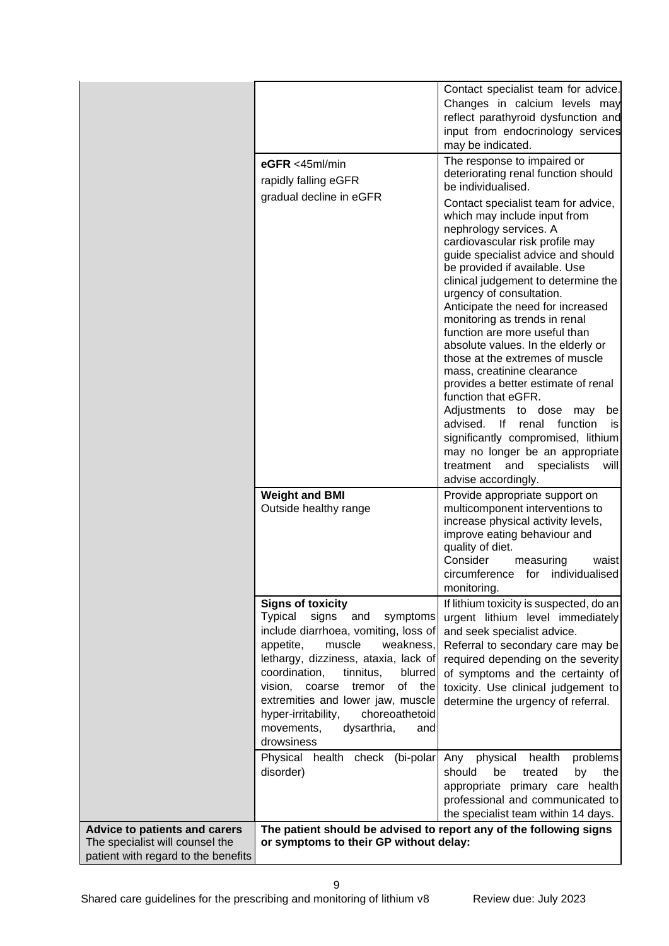|                                                                                                                |                                                                                                                                                                                                                                                                                                                                                                                                              | Contact specialist team for advice.<br>Changes in calcium levels may<br>reflect parathyroid dysfunction and<br>input from endocrinology services<br>may be indicated.                                                                                                                                                                                                                                                                                                                                                                                                                                                                                                                                                                                                                                                                                                    |
|----------------------------------------------------------------------------------------------------------------|--------------------------------------------------------------------------------------------------------------------------------------------------------------------------------------------------------------------------------------------------------------------------------------------------------------------------------------------------------------------------------------------------------------|--------------------------------------------------------------------------------------------------------------------------------------------------------------------------------------------------------------------------------------------------------------------------------------------------------------------------------------------------------------------------------------------------------------------------------------------------------------------------------------------------------------------------------------------------------------------------------------------------------------------------------------------------------------------------------------------------------------------------------------------------------------------------------------------------------------------------------------------------------------------------|
|                                                                                                                | eGFR <45ml/min<br>rapidly falling eGFR<br>gradual decline in eGFR                                                                                                                                                                                                                                                                                                                                            | The response to impaired or<br>deteriorating renal function should<br>be individualised.<br>Contact specialist team for advice,<br>which may include input from<br>nephrology services. A<br>cardiovascular risk profile may<br>guide specialist advice and should<br>be provided if available. Use<br>clinical judgement to determine the<br>urgency of consultation.<br>Anticipate the need for increased<br>monitoring as trends in renal<br>function are more useful than<br>absolute values. In the elderly or<br>those at the extremes of muscle<br>mass, creatinine clearance<br>provides a better estimate of renal<br>function that eGFR.<br>Adjustments to dose may<br>bel<br>advised. If<br>renal function<br>is l<br>significantly compromised, lithium<br>may no longer be an appropriate<br>treatment<br>and<br>specialists<br>will<br>advise accordingly. |
|                                                                                                                | <b>Weight and BMI</b><br>Outside healthy range                                                                                                                                                                                                                                                                                                                                                               | Provide appropriate support on<br>multicomponent interventions to<br>increase physical activity levels,<br>improve eating behaviour and<br>quality of diet.<br>Consider<br>measuring<br>waist<br>circumference for individualised<br>monitoring.                                                                                                                                                                                                                                                                                                                                                                                                                                                                                                                                                                                                                         |
|                                                                                                                | <b>Signs of toxicity</b><br><b>Typical</b><br>signs<br>and<br>symptoms<br>include diarrhoea, vomiting, loss of<br>muscle<br>weakness,<br>appetite,<br>lethargy, dizziness, ataxia, lack of<br>coordination,<br>tinnitus,<br>blurred<br>of the<br>vision,<br>coarse<br>tremor<br>extremities and lower jaw, muscle<br>hyper-irritability,<br>choreoathetoid<br>dysarthria,<br>movements,<br>and<br>drowsiness | If lithium toxicity is suspected, do an<br>urgent lithium level immediately<br>and seek specialist advice.<br>Referral to secondary care may be<br>required depending on the severity<br>of symptoms and the certainty of<br>toxicity. Use clinical judgement to<br>determine the urgency of referral.                                                                                                                                                                                                                                                                                                                                                                                                                                                                                                                                                                   |
|                                                                                                                | Physical health check<br>(bi-polar<br>disorder)                                                                                                                                                                                                                                                                                                                                                              | health<br>problems<br>Any<br>physical<br>should<br>be<br>treated<br>by<br>the<br>appropriate primary care health<br>professional and communicated to<br>the specialist team within 14 days.                                                                                                                                                                                                                                                                                                                                                                                                                                                                                                                                                                                                                                                                              |
| <b>Advice to patients and carers</b><br>The specialist will counsel the<br>patient with regard to the benefits | The patient should be advised to report any of the following signs<br>or symptoms to their GP without delay:                                                                                                                                                                                                                                                                                                 |                                                                                                                                                                                                                                                                                                                                                                                                                                                                                                                                                                                                                                                                                                                                                                                                                                                                          |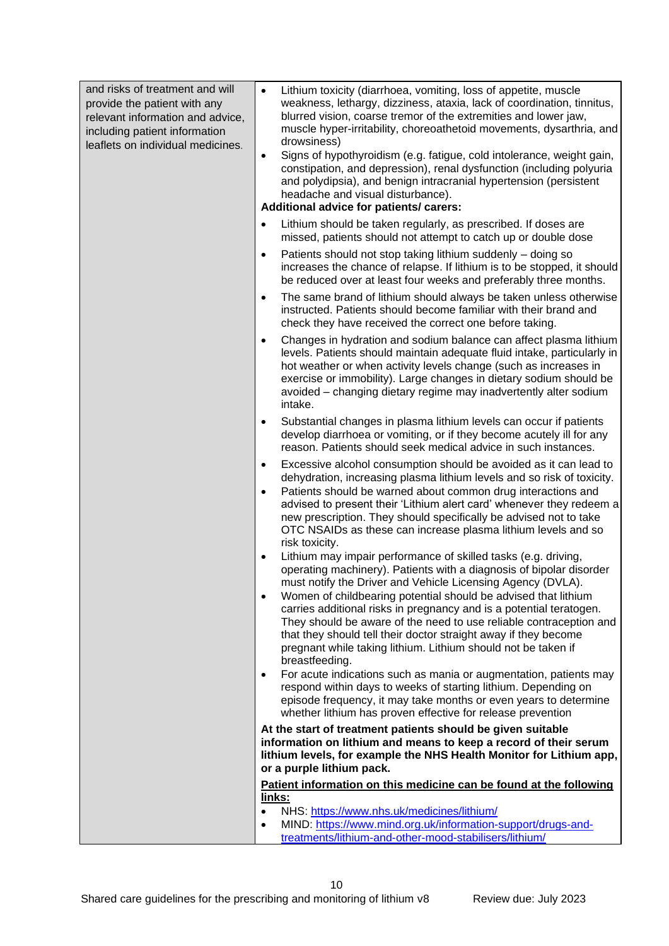| and risks of treatment and will<br>provide the patient with any<br>relevant information and advice,<br>including patient information<br>leaflets on individual medicines. | Lithium toxicity (diarrhoea, vomiting, loss of appetite, muscle<br>$\bullet$<br>weakness, lethargy, dizziness, ataxia, lack of coordination, tinnitus,<br>blurred vision, coarse tremor of the extremities and lower jaw,<br>muscle hyper-irritability, choreoathetoid movements, dysarthria, and<br>drowsiness)<br>Signs of hypothyroidism (e.g. fatigue, cold intolerance, weight gain,<br>$\bullet$<br>constipation, and depression), renal dysfunction (including polyuria<br>and polydipsia), and benign intracranial hypertension (persistent<br>headache and visual disturbance).<br>Additional advice for patients/ carers:                                      |
|---------------------------------------------------------------------------------------------------------------------------------------------------------------------------|--------------------------------------------------------------------------------------------------------------------------------------------------------------------------------------------------------------------------------------------------------------------------------------------------------------------------------------------------------------------------------------------------------------------------------------------------------------------------------------------------------------------------------------------------------------------------------------------------------------------------------------------------------------------------|
|                                                                                                                                                                           | Lithium should be taken regularly, as prescribed. If doses are<br>$\bullet$<br>missed, patients should not attempt to catch up or double dose                                                                                                                                                                                                                                                                                                                                                                                                                                                                                                                            |
|                                                                                                                                                                           | Patients should not stop taking lithium suddenly - doing so<br>$\bullet$<br>increases the chance of relapse. If lithium is to be stopped, it should<br>be reduced over at least four weeks and preferably three months.                                                                                                                                                                                                                                                                                                                                                                                                                                                  |
|                                                                                                                                                                           | The same brand of lithium should always be taken unless otherwise<br>$\bullet$<br>instructed. Patients should become familiar with their brand and<br>check they have received the correct one before taking.                                                                                                                                                                                                                                                                                                                                                                                                                                                            |
|                                                                                                                                                                           | Changes in hydration and sodium balance can affect plasma lithium<br>$\bullet$<br>levels. Patients should maintain adequate fluid intake, particularly in<br>hot weather or when activity levels change (such as increases in<br>exercise or immobility). Large changes in dietary sodium should be<br>avoided - changing dietary regime may inadvertently alter sodium<br>intake.                                                                                                                                                                                                                                                                                       |
|                                                                                                                                                                           | Substantial changes in plasma lithium levels can occur if patients<br>$\bullet$<br>develop diarrhoea or vomiting, or if they become acutely ill for any<br>reason. Patients should seek medical advice in such instances.                                                                                                                                                                                                                                                                                                                                                                                                                                                |
|                                                                                                                                                                           | Excessive alcohol consumption should be avoided as it can lead to<br>$\bullet$<br>dehydration, increasing plasma lithium levels and so risk of toxicity.<br>Patients should be warned about common drug interactions and<br>$\bullet$<br>advised to present their 'Lithium alert card' whenever they redeem a<br>new prescription. They should specifically be advised not to take<br>OTC NSAIDs as these can increase plasma lithium levels and so<br>risk toxicity.                                                                                                                                                                                                    |
|                                                                                                                                                                           | Lithium may impair performance of skilled tasks (e.g. driving,<br>operating machinery). Patients with a diagnosis of bipolar disorder<br>must notify the Driver and Vehicle Licensing Agency (DVLA).<br>Women of childbearing potential should be advised that lithium<br>$\bullet$<br>carries additional risks in pregnancy and is a potential teratogen.<br>They should be aware of the need to use reliable contraception and<br>that they should tell their doctor straight away if they become<br>pregnant while taking lithium. Lithium should not be taken if<br>breastfeeding.<br>For acute indications such as mania or augmentation, patients may<br>$\bullet$ |
|                                                                                                                                                                           | respond within days to weeks of starting lithium. Depending on<br>episode frequency, it may take months or even years to determine<br>whether lithium has proven effective for release prevention                                                                                                                                                                                                                                                                                                                                                                                                                                                                        |
|                                                                                                                                                                           | At the start of treatment patients should be given suitable<br>information on lithium and means to keep a record of their serum<br>lithium levels, for example the NHS Health Monitor for Lithium app,<br>or a purple lithium pack.                                                                                                                                                                                                                                                                                                                                                                                                                                      |
|                                                                                                                                                                           | Patient information on this medicine can be found at the following<br>links:                                                                                                                                                                                                                                                                                                                                                                                                                                                                                                                                                                                             |
|                                                                                                                                                                           | NHS: https://www.nhs.uk/medicines/lithium/<br>$\bullet$<br>MIND: https://www.mind.org.uk/information-support/drugs-and-<br>$\bullet$<br>treatments/lithium-and-other-mood-stabilisers/lithium/                                                                                                                                                                                                                                                                                                                                                                                                                                                                           |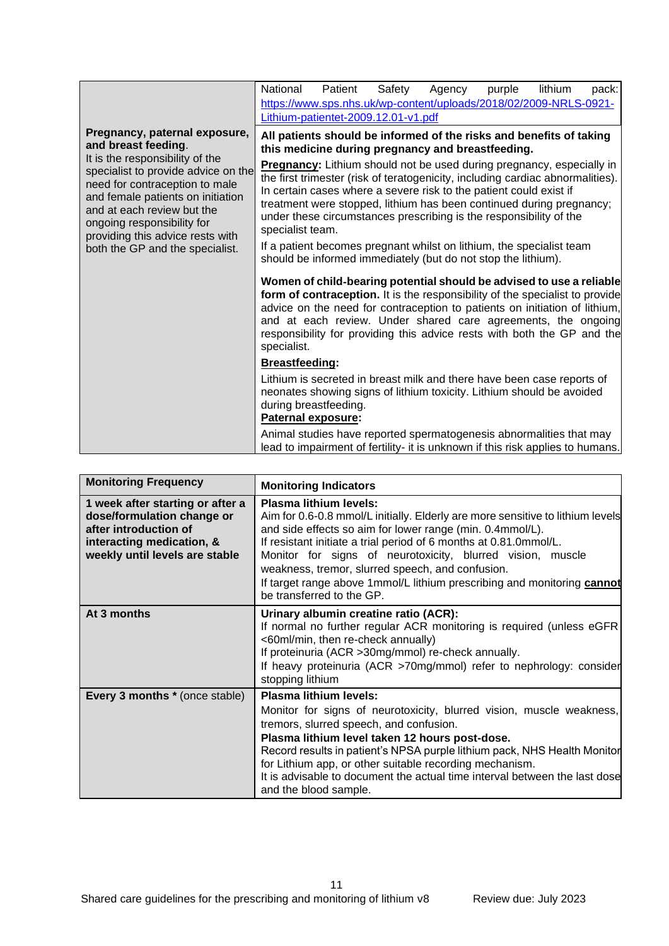|                                                                                                                                                                                                                                                                                                                                          | National                                                                                                                                                                                                                                                                                                                                                                                                                                                                                                                                                                                                                                                                                                           | Patient | Safety | Agency                                                                                                                                                                                                                                                                                                                                                                         | purple | lithium | pack: |
|------------------------------------------------------------------------------------------------------------------------------------------------------------------------------------------------------------------------------------------------------------------------------------------------------------------------------------------|--------------------------------------------------------------------------------------------------------------------------------------------------------------------------------------------------------------------------------------------------------------------------------------------------------------------------------------------------------------------------------------------------------------------------------------------------------------------------------------------------------------------------------------------------------------------------------------------------------------------------------------------------------------------------------------------------------------------|---------|--------|--------------------------------------------------------------------------------------------------------------------------------------------------------------------------------------------------------------------------------------------------------------------------------------------------------------------------------------------------------------------------------|--------|---------|-------|
|                                                                                                                                                                                                                                                                                                                                          |                                                                                                                                                                                                                                                                                                                                                                                                                                                                                                                                                                                                                                                                                                                    |         |        | https://www.sps.nhs.uk/wp-content/uploads/2018/02/2009-NRLS-0921-                                                                                                                                                                                                                                                                                                              |        |         |       |
| Pregnancy, paternal exposure,<br>and breast feeding.<br>It is the responsibility of the<br>specialist to provide advice on the<br>need for contraception to male<br>and female patients on initiation<br>and at each review but the<br>ongoing responsibility for<br>providing this advice rests with<br>both the GP and the specialist. | Lithium-patientet-2009.12.01-v1.pdf<br>All patients should be informed of the risks and benefits of taking<br>this medicine during pregnancy and breastfeeding.<br><b>Pregnancy:</b> Lithium should not be used during pregnancy, especially in<br>the first trimester (risk of teratogenicity, including cardiac abnormalities).<br>In certain cases where a severe risk to the patient could exist if<br>treatment were stopped, lithium has been continued during pregnancy;<br>under these circumstances prescribing is the responsibility of the<br>specialist team.<br>If a patient becomes pregnant whilst on lithium, the specialist team<br>should be informed immediately (but do not stop the lithium). |         |        |                                                                                                                                                                                                                                                                                                                                                                                |        |         |       |
|                                                                                                                                                                                                                                                                                                                                          | specialist.                                                                                                                                                                                                                                                                                                                                                                                                                                                                                                                                                                                                                                                                                                        |         |        | Women of child-bearing potential should be advised to use a reliable<br>form of contraception. It is the responsibility of the specialist to provide<br>advice on the need for contraception to patients on initiation of lithium,<br>and at each review. Under shared care agreements, the ongoing<br>responsibility for providing this advice rests with both the GP and the |        |         |       |
|                                                                                                                                                                                                                                                                                                                                          | <b>Breastfeeding:</b>                                                                                                                                                                                                                                                                                                                                                                                                                                                                                                                                                                                                                                                                                              |         |        |                                                                                                                                                                                                                                                                                                                                                                                |        |         |       |
|                                                                                                                                                                                                                                                                                                                                          | during breastfeeding.<br>Paternal exposure:                                                                                                                                                                                                                                                                                                                                                                                                                                                                                                                                                                                                                                                                        |         |        | Lithium is secreted in breast milk and there have been case reports of<br>neonates showing signs of lithium toxicity. Lithium should be avoided                                                                                                                                                                                                                                |        |         |       |
|                                                                                                                                                                                                                                                                                                                                          |                                                                                                                                                                                                                                                                                                                                                                                                                                                                                                                                                                                                                                                                                                                    |         |        | Animal studies have reported spermatogenesis abnormalities that may<br>lead to impairment of fertility- it is unknown if this risk applies to humans.                                                                                                                                                                                                                          |        |         |       |

| <b>Monitoring Frequency</b>                                                                                                                            | <b>Monitoring Indicators</b>                                                                                                                                                                                                                                                                                                                                                                                                                                                |
|--------------------------------------------------------------------------------------------------------------------------------------------------------|-----------------------------------------------------------------------------------------------------------------------------------------------------------------------------------------------------------------------------------------------------------------------------------------------------------------------------------------------------------------------------------------------------------------------------------------------------------------------------|
| 1 week after starting or after a<br>dose/formulation change or<br>after introduction of<br>interacting medication, &<br>weekly until levels are stable | <b>Plasma lithium levels:</b><br>Aim for 0.6-0.8 mmol/L initially. Elderly are more sensitive to lithium levels<br>and side effects so aim for lower range (min. 0.4mmol/L).<br>If resistant initiate a trial period of 6 months at 0.81.0mmol/L.<br>Monitor for signs of neurotoxicity, blurred vision, muscle<br>weakness, tremor, slurred speech, and confusion.<br>If target range above 1mmol/L lithium prescribing and monitoring cannot<br>be transferred to the GP. |
| At 3 months                                                                                                                                            | Urinary albumin creatine ratio (ACR):<br>If normal no further regular ACR monitoring is required (unless eGFR<br><60ml/min, then re-check annually)<br>If proteinuria (ACR > 30mg/mmol) re-check annually.<br>If heavy proteinuria (ACR >70mg/mmol) refer to nephrology: consider<br>stopping lithium                                                                                                                                                                       |
| <b>Every 3 months</b> * (once stable)                                                                                                                  | Plasma lithium levels:<br>Monitor for signs of neurotoxicity, blurred vision, muscle weakness,<br>tremors, slurred speech, and confusion.<br>Plasma lithium level taken 12 hours post-dose.<br>Record results in patient's NPSA purple lithium pack, NHS Health Monitor<br>for Lithium app, or other suitable recording mechanism.<br>It is advisable to document the actual time interval between the last dose<br>and the blood sample.                                   |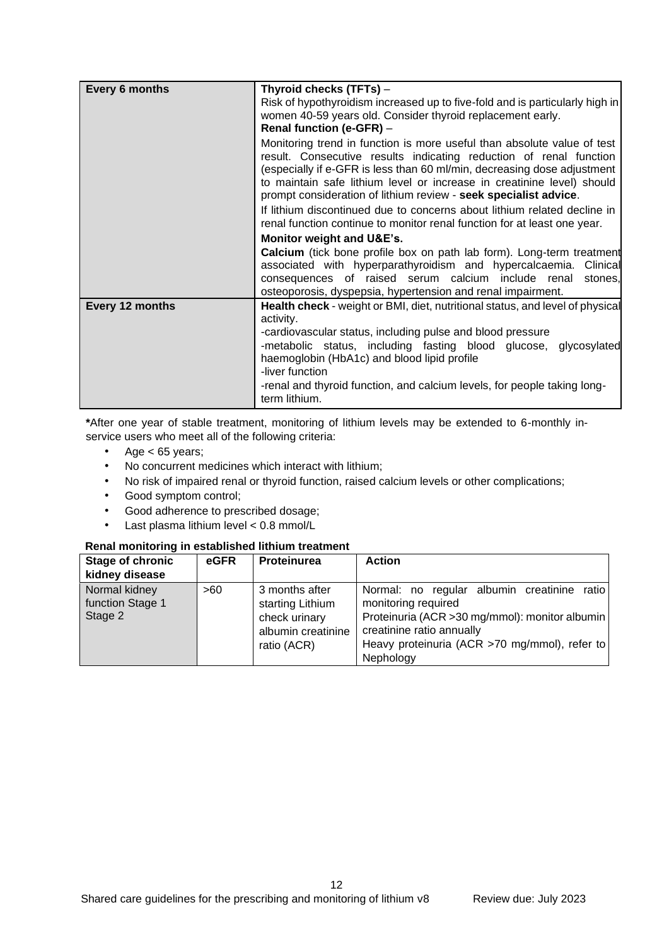| Every 6 months  | Thyroid checks (TFTs) -<br>Risk of hypothyroidism increased up to five-fold and is particularly high in<br>women 40-59 years old. Consider thyroid replacement early.<br>Renal function (e-GFR) -                                                                                                                                                                      |  |
|-----------------|------------------------------------------------------------------------------------------------------------------------------------------------------------------------------------------------------------------------------------------------------------------------------------------------------------------------------------------------------------------------|--|
|                 | Monitoring trend in function is more useful than absolute value of test<br>result. Consecutive results indicating reduction of renal function<br>(especially if e-GFR is less than 60 ml/min, decreasing dose adjustment<br>to maintain safe lithium level or increase in creatinine level) should<br>prompt consideration of lithium review - seek specialist advice. |  |
|                 | If lithium discontinued due to concerns about lithium related decline in<br>renal function continue to monitor renal function for at least one year.                                                                                                                                                                                                                   |  |
|                 | Monitor weight and U&E's.                                                                                                                                                                                                                                                                                                                                              |  |
|                 | <b>Calcium</b> (tick bone profile box on path lab form). Long-term treatment<br>associated with hyperparathyroidism and hypercalcaemia. Clinical<br>consequences of raised serum calcium include renal<br>stones.<br>osteoporosis, dyspepsia, hypertension and renal impairment.                                                                                       |  |
| Every 12 months | Health check - weight or BMI, diet, nutritional status, and level of physical<br>activity.                                                                                                                                                                                                                                                                             |  |
|                 | -cardiovascular status, including pulse and blood pressure<br>-metabolic status, including fasting blood glucose,<br>glycosylated<br>haemoglobin (HbA1c) and blood lipid profile<br>-liver function<br>-renal and thyroid function, and calcium levels, for people taking long-<br>term lithium.                                                                       |  |

**\***After one year of stable treatment, monitoring of lithium levels may be extended to 6-monthly inservice users who meet all of the following criteria:

- Age < 65 years;
- No concurrent medicines which interact with lithium;
- No risk of impaired renal or thyroid function, raised calcium levels or other complications;
- Good symptom control;
- Good adherence to prescribed dosage;
- Last plasma lithium level < 0.8 mmol/L

# **Renal monitoring in established lithium treatment**

| Stage of chronic                             | eGFR | <b>Proteinurea</b>                                                                       | <b>Action</b>                                                                                                                                                                                                    |
|----------------------------------------------|------|------------------------------------------------------------------------------------------|------------------------------------------------------------------------------------------------------------------------------------------------------------------------------------------------------------------|
| kidney disease                               |      |                                                                                          |                                                                                                                                                                                                                  |
| Normal kidney<br>function Stage 1<br>Stage 2 | >60  | 3 months after<br>starting Lithium<br>check urinary<br>albumin creatinine<br>ratio (ACR) | Normal: no regular albumin creatinine ratio<br>monitoring required<br>Proteinuria (ACR > 30 mg/mmol): monitor albumin<br>creatinine ratio annually<br>Heavy proteinuria (ACR >70 mg/mmol), refer to<br>Nephology |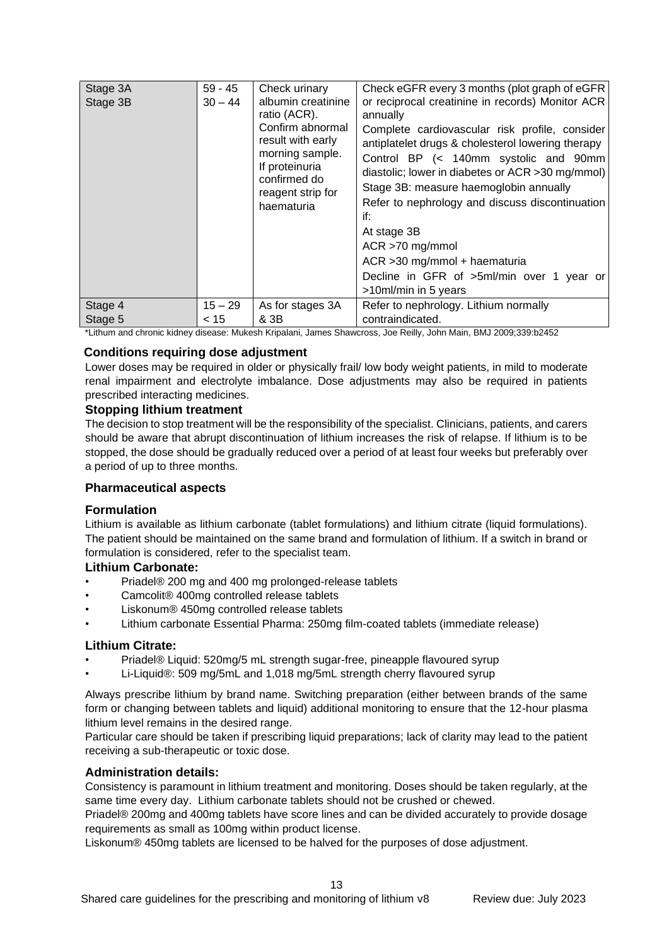| Stage 4<br>$15 - 29$<br>As for stages 3A<br>Refer to nephrology. Lithium normally | Stage 3A<br>Stage 3B | 59 - 45<br>$30 - 44$ | Check urinary<br>albumin creatinine<br>ratio (ACR).<br>Confirm abnormal<br>result with early<br>morning sample.<br>If proteinuria<br>confirmed do<br>reagent strip for<br>haematuria | Check eGFR every 3 months (plot graph of eGFR<br>or reciprocal creatinine in records) Monitor ACR<br>annually<br>Complete cardiovascular risk profile, consider<br>antiplatelet drugs & cholesterol lowering therapy<br>Control BP (< 140mm systolic and 90mm<br>diastolic; lower in diabetes or ACR > 30 mg/mmol)<br>Stage 3B: measure haemoglobin annually<br>Refer to nephrology and discuss discontinuation<br>if:<br>At stage 3B<br>$ACR > 70$ mg/mmol<br>ACR > 30 mg/mmol + haematuria<br>Decline in GFR of >5ml/min over 1 year or<br>>10ml/min in 5 years |
|-----------------------------------------------------------------------------------|----------------------|----------------------|--------------------------------------------------------------------------------------------------------------------------------------------------------------------------------------|-------------------------------------------------------------------------------------------------------------------------------------------------------------------------------------------------------------------------------------------------------------------------------------------------------------------------------------------------------------------------------------------------------------------------------------------------------------------------------------------------------------------------------------------------------------------|
| contraindicated.<br>Stage 5<br>& 3B<br>< 15                                       |                      |                      |                                                                                                                                                                                      |                                                                                                                                                                                                                                                                                                                                                                                                                                                                                                                                                                   |

\*Lithum and chronic kidney disease: Mukesh Kripalani, James Shawcross, Joe Reilly, John Main, BMJ 2009;339:b2452

# **Conditions requiring dose adjustment**

Lower doses may be required in older or physically frail/ low body weight patients, in mild to moderate renal impairment and electrolyte imbalance. Dose adjustments may also be required in patients prescribed interacting medicines.

# **Stopping lithium treatment**

The decision to stop treatment will be the responsibility of the specialist. Clinicians, patients, and carers should be aware that abrupt discontinuation of lithium increases the risk of relapse. If lithium is to be stopped, the dose should be gradually reduced over a period of at least four weeks but preferably over a period of up to three months.

# **Pharmaceutical aspects**

#### **Formulation**

Lithium is available as lithium carbonate (tablet formulations) and lithium citrate (liquid formulations). The patient should be maintained on the same brand and formulation of lithium. If a switch in brand or formulation is considered, refer to the specialist team.

#### **Lithium Carbonate:**

- Priadel® 200 mg and 400 mg prolonged-release tablets
- Camcolit® 400mg controlled release tablets
- Liskonum® 450mg controlled release tablets
- Lithium carbonate Essential Pharma: 250mg film-coated tablets (immediate release)

#### **Lithium Citrate:**

- Priadel® Liquid: 520mg/5 mL strength sugar-free, pineapple flavoured syrup
- Li-Liquid®: 509 mg/5mL and 1,018 mg/5mL strength cherry flavoured syrup

Always prescribe lithium by brand name. Switching preparation (either between brands of the same form or changing between tablets and liquid) additional monitoring to ensure that the 12-hour plasma lithium level remains in the desired range.

Particular care should be taken if prescribing liquid preparations; lack of clarity may lead to the patient receiving a sub-therapeutic or toxic dose.

#### **Administration details:**

Consistency is paramount in lithium treatment and monitoring. Doses should be taken regularly, at the same time every day. Lithium carbonate tablets should not be crushed or chewed.

Priadel® 200mg and 400mg tablets have score lines and can be divided accurately to provide dosage requirements as small as 100mg within product license.

Liskonum® 450mg tablets are licensed to be halved for the purposes of dose adjustment.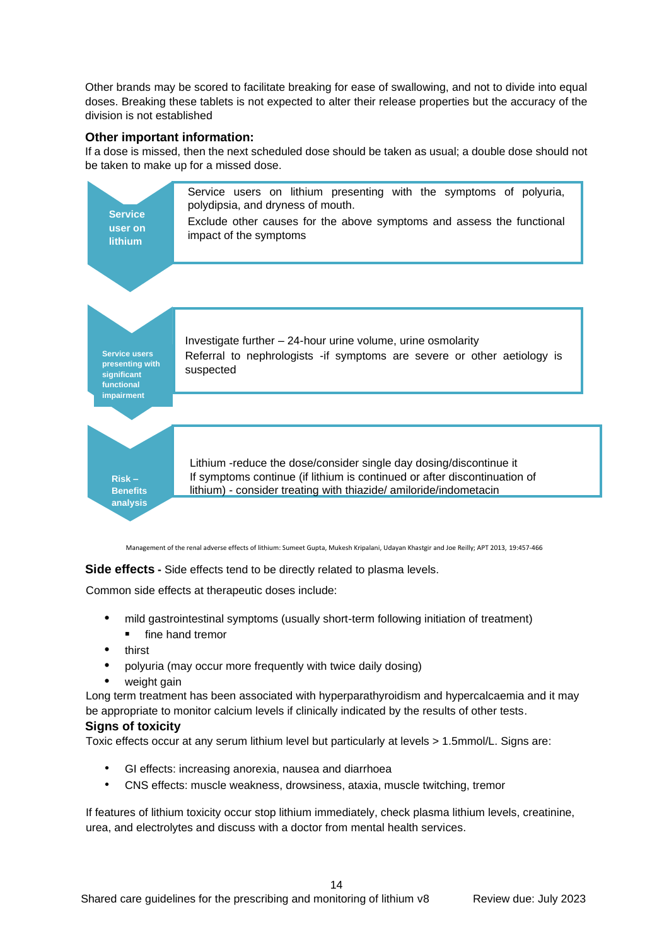Other brands may be scored to facilitate breaking for ease of swallowing, and not to divide into equal doses. Breaking these tablets is not expected to alter their release properties but the accuracy of the division is not established

# **Other important information:**

If a dose is missed, then the next scheduled dose should be taken as usual; a double dose should not be taken to make up for a missed dose.



Management of the renal adverse effects of lithium: Sumeet Gupta, Mukesh Kripalani, Udayan Khastgir and Joe Reilly; APT 2013, 19:457-466

**Side effects -** Side effects tend to be directly related to plasma levels.

Common side effects at therapeutic doses include:

- **•** mild gastrointestinal symptoms (usually short-term following initiation of treatment)
	- **▪** fine hand tremor
- **•** thirst
- **•** polyuria (may occur more frequently with twice daily dosing)
- **•** weight gain

Long term treatment has been associated with hyperparathyroidism and hypercalcaemia and it may be appropriate to monitor calcium levels if clinically indicated by the results of other tests.

#### **Signs of toxicity**

Toxic effects occur at any serum lithium level but particularly at levels > 1.5mmol/L. Signs are:

- GI effects: increasing anorexia, nausea and diarrhoea
- CNS effects: muscle weakness, drowsiness, ataxia, muscle twitching, tremor

If features of lithium toxicity occur stop lithium immediately, check plasma lithium levels, creatinine, urea, and electrolytes and discuss with a doctor from mental health services.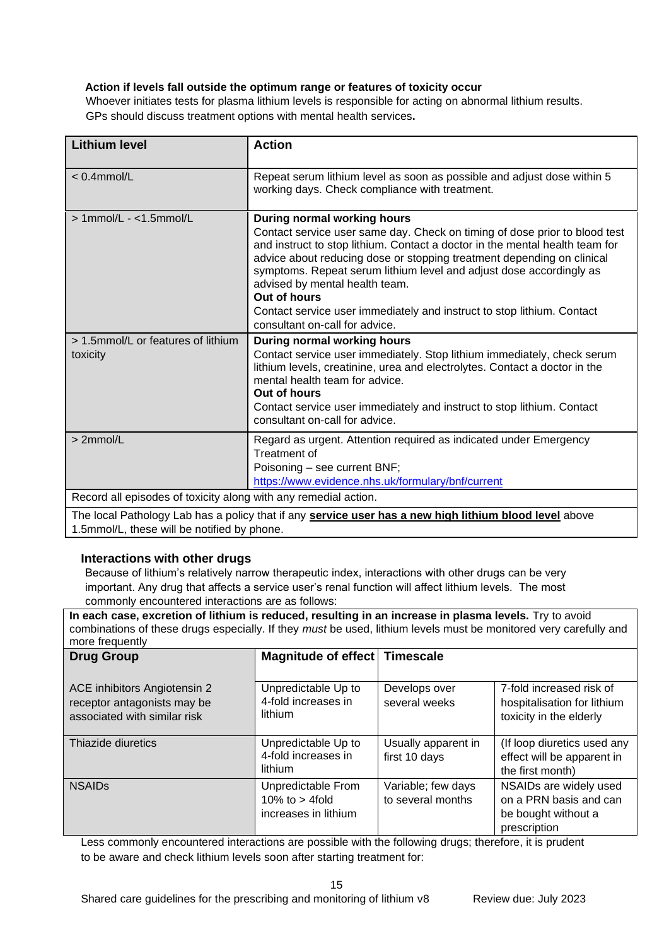# **Action if levels fall outside the optimum range or features of toxicity occur**

Whoever initiates tests for plasma lithium levels is responsible for acting on abnormal lithium results. GPs should discuss treatment options with mental health services**.** 

| <b>Lithium level</b>                                                                                                                                                                                                                                                                                                                                                                                 | <b>Action</b>                                                                                                                                                                                                                                                                                                                                                                                                                                                                                            |  |
|------------------------------------------------------------------------------------------------------------------------------------------------------------------------------------------------------------------------------------------------------------------------------------------------------------------------------------------------------------------------------------------------------|----------------------------------------------------------------------------------------------------------------------------------------------------------------------------------------------------------------------------------------------------------------------------------------------------------------------------------------------------------------------------------------------------------------------------------------------------------------------------------------------------------|--|
| $< 0.4$ mmol/L                                                                                                                                                                                                                                                                                                                                                                                       | Repeat serum lithium level as soon as possible and adjust dose within 5<br>working days. Check compliance with treatment.                                                                                                                                                                                                                                                                                                                                                                                |  |
| $> 1$ mmol/L - < $1.5$ mmol/L                                                                                                                                                                                                                                                                                                                                                                        | During normal working hours<br>Contact service user same day. Check on timing of dose prior to blood test<br>and instruct to stop lithium. Contact a doctor in the mental health team for<br>advice about reducing dose or stopping treatment depending on clinical<br>symptoms. Repeat serum lithium level and adjust dose accordingly as<br>advised by mental health team.<br>Out of hours<br>Contact service user immediately and instruct to stop lithium. Contact<br>consultant on-call for advice. |  |
| > 1.5mmol/L or features of lithium<br>During normal working hours<br>Contact service user immediately. Stop lithium immediately, check serum<br>toxicity<br>lithium levels, creatinine, urea and electrolytes. Contact a doctor in the<br>mental health team for advice.<br>Out of hours<br>Contact service user immediately and instruct to stop lithium. Contact<br>consultant on-call for advice. |                                                                                                                                                                                                                                                                                                                                                                                                                                                                                                          |  |
| > 2mmol/L<br>Regard as urgent. Attention required as indicated under Emergency<br>Treatment of<br>Poisoning - see current BNF;<br>https://www.evidence.nhs.uk/formulary/bnf/current                                                                                                                                                                                                                  |                                                                                                                                                                                                                                                                                                                                                                                                                                                                                                          |  |
| Record all episodes of toxicity along with any remedial action.                                                                                                                                                                                                                                                                                                                                      |                                                                                                                                                                                                                                                                                                                                                                                                                                                                                                          |  |
| The local Pathology Lab has a policy that if any service user has a new high lithium blood level above<br>1.5mmol/L, these will be notified by phone.                                                                                                                                                                                                                                                |                                                                                                                                                                                                                                                                                                                                                                                                                                                                                                          |  |

#### **Interactions with other drugs**

Because of lithium's relatively narrow therapeutic index, interactions with other drugs can be very important. Any drug that affects a service user's renal function will affect lithium levels. The most commonly encountered interactions are as follows:

**In each case, excretion of lithium is reduced, resulting in an increase in plasma levels.** Try to avoid combinations of these drugs especially. If they *must* be used, lithium levels must be monitored very carefully and more frequently

| <b>Drug Group</b>                                                                           | Magnitude of effect Timescale                                  |                                         |                                                                                         |
|---------------------------------------------------------------------------------------------|----------------------------------------------------------------|-----------------------------------------|-----------------------------------------------------------------------------------------|
| ACE inhibitors Angiotensin 2<br>receptor antagonists may be<br>associated with similar risk | Unpredictable Up to<br>4-fold increases in<br>lithium          | Develops over<br>several weeks          | 7-fold increased risk of<br>hospitalisation for lithium<br>toxicity in the elderly      |
| Thiazide diuretics                                                                          | Unpredictable Up to<br>4-fold increases in<br>lithium          | Usually apparent in<br>first 10 days    | (If loop diuretics used any<br>effect will be apparent in<br>the first month)           |
| <b>NSAIDs</b>                                                                               | Unpredictable From<br>10% to $>$ 4fold<br>increases in lithium | Variable; few days<br>to several months | NSAIDs are widely used<br>on a PRN basis and can<br>be bought without a<br>prescription |

Less commonly encountered interactions are possible with the following drugs; therefore, it is prudent to be aware and check lithium levels soon after starting treatment for: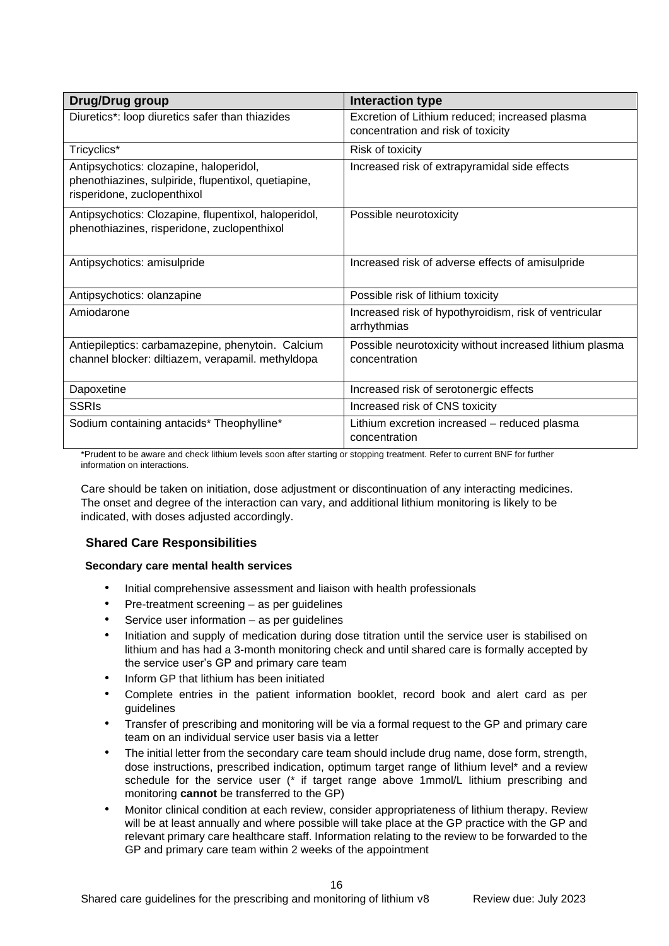| <b>Drug/Drug group</b>                                                                                                        | Interaction type                                                                     |
|-------------------------------------------------------------------------------------------------------------------------------|--------------------------------------------------------------------------------------|
| Diuretics*: loop diuretics safer than thiazides                                                                               | Excretion of Lithium reduced; increased plasma<br>concentration and risk of toxicity |
| Tricyclics*                                                                                                                   | Risk of toxicity                                                                     |
| Antipsychotics: clozapine, haloperidol,<br>phenothiazines, sulpiride, flupentixol, quetiapine,<br>risperidone, zuclopenthixol | Increased risk of extrapyramidal side effects                                        |
| Antipsychotics: Clozapine, flupentixol, haloperidol,<br>phenothiazines, risperidone, zuclopenthixol                           | Possible neurotoxicity                                                               |
| Antipsychotics: amisulpride                                                                                                   | Increased risk of adverse effects of amisulpride                                     |
| Antipsychotics: olanzapine                                                                                                    | Possible risk of lithium toxicity                                                    |
| Amiodarone                                                                                                                    | Increased risk of hypothyroidism, risk of ventricular<br>arrhythmias                 |
| Antiepileptics: carbamazepine, phenytoin. Calcium<br>channel blocker: diltiazem, verapamil. methyldopa                        | Possible neurotoxicity without increased lithium plasma<br>concentration             |
| Dapoxetine                                                                                                                    | Increased risk of serotonergic effects                                               |
| <b>SSRIS</b>                                                                                                                  | Increased risk of CNS toxicity                                                       |
| Sodium containing antacids* Theophylline*                                                                                     | Lithium excretion increased - reduced plasma<br>concentration                        |

\*Prudent to be aware and check lithium levels soon after starting or stopping treatment. Refer to current BNF for further information on interactions.

Care should be taken on initiation, dose adjustment or discontinuation of any interacting medicines. The onset and degree of the interaction can vary, and additional lithium monitoring is likely to be indicated, with doses adjusted accordingly.

# **Shared Care Responsibilities**

#### **Secondary care mental health services**

- Initial comprehensive assessment and liaison with health professionals
- Pre-treatment screening as per guidelines
- Service user information as per guidelines
- Initiation and supply of medication during dose titration until the service user is stabilised on lithium and has had a 3-month monitoring check and until shared care is formally accepted by the service user's GP and primary care team
- Inform GP that lithium has been initiated
- Complete entries in the patient information booklet, record book and alert card as per guidelines
- Transfer of prescribing and monitoring will be via a formal request to the GP and primary care team on an individual service user basis via a letter
- The initial letter from the secondary care team should include drug name, dose form, strength, dose instructions, prescribed indication, optimum target range of lithium level\* and a review schedule for the service user (\* if target range above 1mmol/L lithium prescribing and monitoring **cannot** be transferred to the GP)
- Monitor clinical condition at each review, consider appropriateness of lithium therapy. Review will be at least annually and where possible will take place at the GP practice with the GP and relevant primary care healthcare staff. Information relating to the review to be forwarded to the GP and primary care team within 2 weeks of the appointment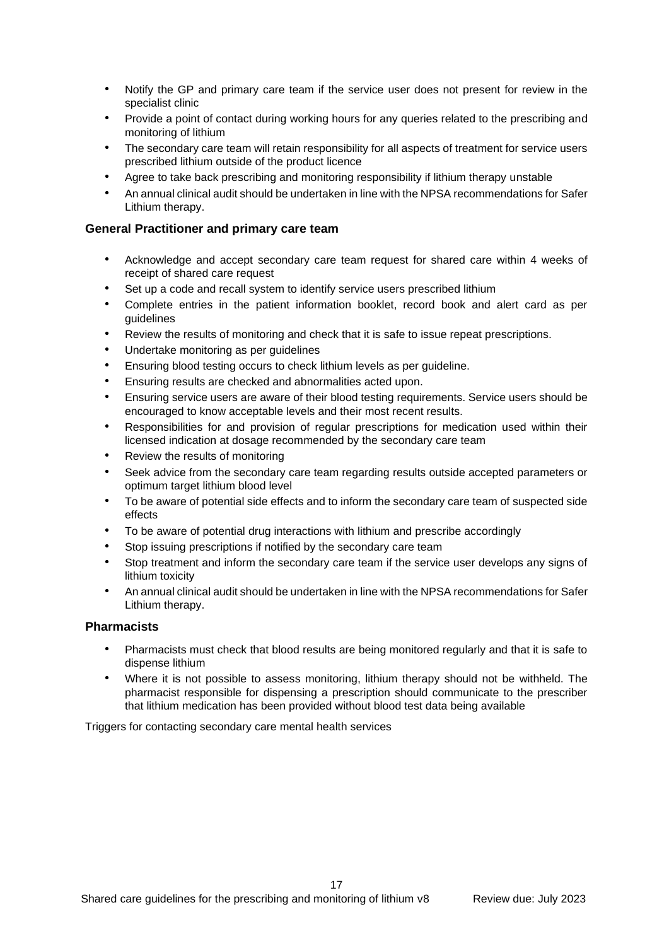- Notify the GP and primary care team if the service user does not present for review in the specialist clinic
- Provide a point of contact during working hours for any queries related to the prescribing and monitoring of lithium
- The secondary care team will retain responsibility for all aspects of treatment for service users prescribed lithium outside of the product licence
- Agree to take back prescribing and monitoring responsibility if lithium therapy unstable
- An annual clinical audit should be undertaken in line with the NPSA recommendations for Safer Lithium therapy.

# **General Practitioner and primary care team**

- Acknowledge and accept secondary care team request for shared care within 4 weeks of receipt of shared care request
- Set up a code and recall system to identify service users prescribed lithium
- Complete entries in the patient information booklet, record book and alert card as per guidelines
- Review the results of monitoring and check that it is safe to issue repeat prescriptions.
- Undertake monitoring as per guidelines
- Ensuring blood testing occurs to check lithium levels as per guideline.
- Ensuring results are checked and abnormalities acted upon.
- Ensuring service users are aware of their blood testing requirements. Service users should be encouraged to know acceptable levels and their most recent results.
- Responsibilities for and provision of regular prescriptions for medication used within their licensed indication at dosage recommended by the secondary care team
- Review the results of monitoring
- Seek advice from the secondary care team regarding results outside accepted parameters or optimum target lithium blood level
- To be aware of potential side effects and to inform the secondary care team of suspected side effects
- To be aware of potential drug interactions with lithium and prescribe accordingly
- Stop issuing prescriptions if notified by the secondary care team
- Stop treatment and inform the secondary care team if the service user develops any signs of lithium toxicity
- An annual clinical audit should be undertaken in line with the NPSA recommendations for Safer Lithium therapy.

#### **Pharmacists**

- Pharmacists must check that blood results are being monitored regularly and that it is safe to dispense lithium
- Where it is not possible to assess monitoring, lithium therapy should not be withheld. The pharmacist responsible for dispensing a prescription should communicate to the prescriber that lithium medication has been provided without blood test data being available

Triggers for contacting secondary care mental health services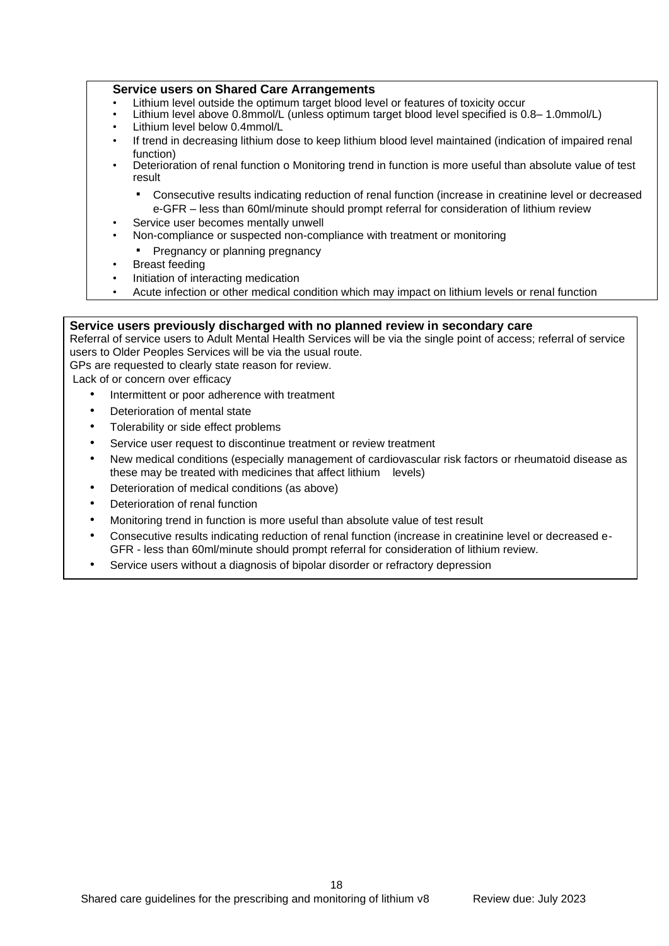#### **Service users on Shared Care Arrangements**

- Lithium level outside the optimum target blood level or features of toxicity occur
- Lithium level above 0.8mmol/L (unless optimum target blood level specified is 0.8– 1.0mmol/L)
- Lithium level below 0.4mmol/L
- If trend in decreasing lithium dose to keep lithium blood level maintained (indication of impaired renal function)
- Deterioration of renal function o Monitoring trend in function is more useful than absolute value of test result
	- Consecutive results indicating reduction of renal function (increase in creatinine level or decreased e-GFR – less than 60ml/minute should prompt referral for consideration of lithium review
- Service user becomes mentally unwell
	- Non-compliance or suspected non-compliance with treatment or monitoring
	- Pregnancy or planning pregnancy
- Breast feeding
- Initiation of interacting medication
- Acute infection or other medical condition which may impact on lithium levels or renal function

#### **Service users previously discharged with no planned review in secondary care**

Referral of service users to Adult Mental Health Services will be via the single point of access; referral of service users to Older Peoples Services will be via the usual route.

GPs are requested to clearly state reason for review.

Lack of or concern over efficacy

- Intermittent or poor adherence with treatment
- Deterioration of mental state
- Tolerability or side effect problems
- Service user request to discontinue treatment or review treatment
- New medical conditions (especially management of cardiovascular risk factors or rheumatoid disease as these may be treated with medicines that affect lithium levels)
- Deterioration of medical conditions (as above)
- Deterioration of renal function
- Monitoring trend in function is more useful than absolute value of test result
- Consecutive results indicating reduction of renal function (increase in creatinine level or decreased e-GFR - less than 60ml/minute should prompt referral for consideration of lithium review.
- Service users without a diagnosis of bipolar disorder or refractory depression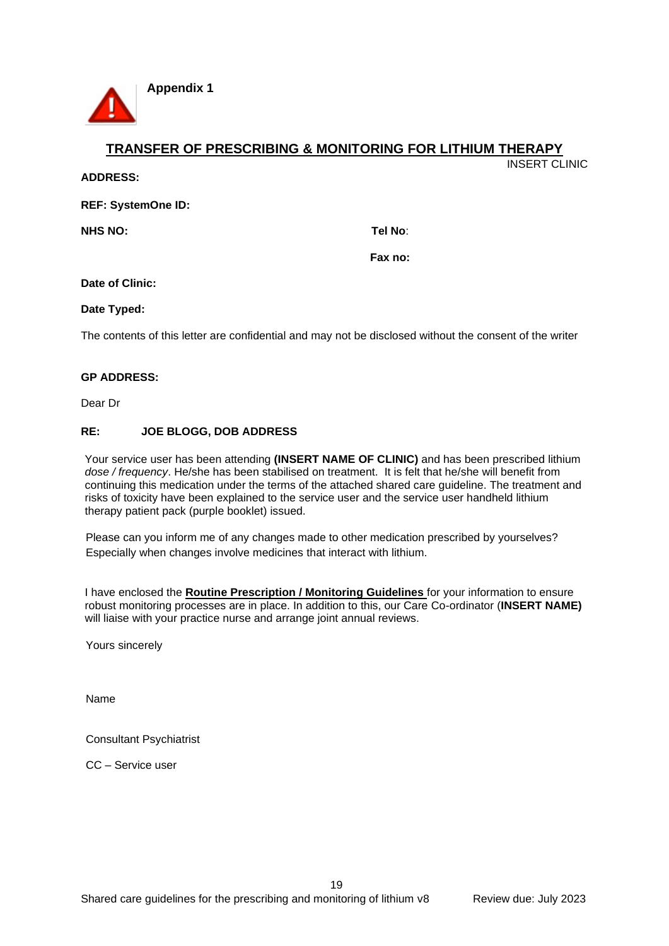

# **TRANSFER OF PRESCRIBING & MONITORING FOR LITHIUM THERAPY**

INSERT CLINIC

**ADDRESS:**

**REF: SystemOne ID:**

**NHS NO: Tel No**:

**Fax no:** 

**Date of Clinic:** 

#### **Date Typed:**

The contents of this letter are confidential and may not be disclosed without the consent of the writer

#### **GP ADDRESS:**

Dear Dr

#### **RE: JOE BLOGG, DOB ADDRESS**

Your service user has been attending **(INSERT NAME OF CLINIC)** and has been prescribed lithium *dose / frequency*. He/she has been stabilised on treatment. It is felt that he/she will benefit from continuing this medication under the terms of the attached shared care guideline. The treatment and risks of toxicity have been explained to the service user and the service user handheld lithium therapy patient pack (purple booklet) issued.

Please can you inform me of any changes made to other medication prescribed by yourselves? Especially when changes involve medicines that interact with lithium.

I have enclosed the **Routine Prescription / Monitoring Guidelines** for your information to ensure robust monitoring processes are in place. In addition to this, our Care Co-ordinator (**INSERT NAME)** will liaise with your practice nurse and arrange joint annual reviews.

Yours sincerely

Name

Consultant Psychiatrist

CC – Service user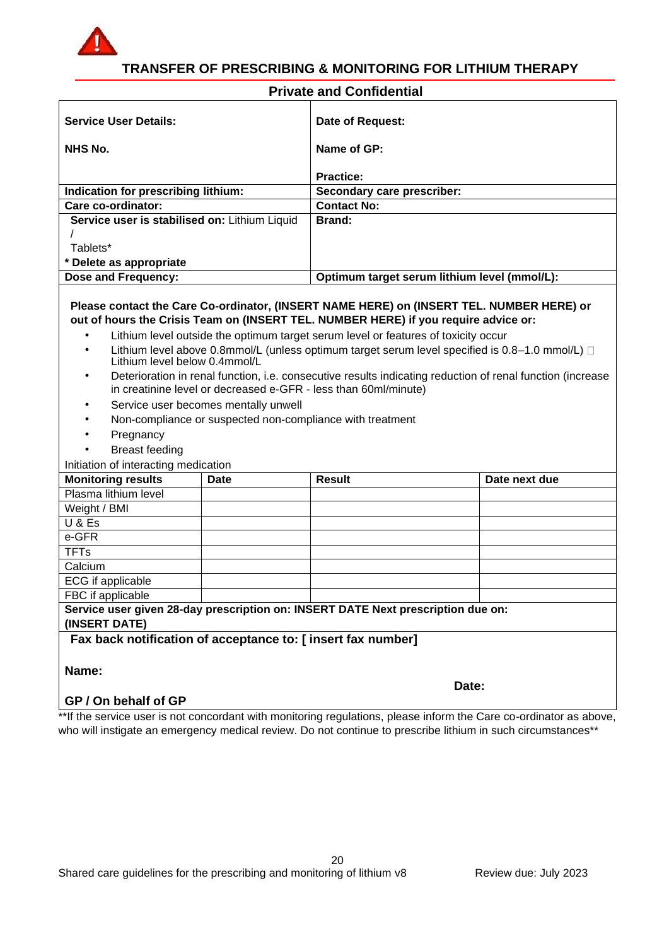

# **TRANSFER OF PRESCRIBING & MONITORING FOR LITHIUM THERAPY**

| <b>Private and Confidential</b> |
|---------------------------------|
|                                 |

| <b>Service User Details:</b>                                                                                                                                                    | Date of Request:                                                                                                                                                              |                                                                                                        |  |  |
|---------------------------------------------------------------------------------------------------------------------------------------------------------------------------------|-------------------------------------------------------------------------------------------------------------------------------------------------------------------------------|--------------------------------------------------------------------------------------------------------|--|--|
| <b>NHS No.</b>                                                                                                                                                                  | Name of GP:                                                                                                                                                                   |                                                                                                        |  |  |
|                                                                                                                                                                                 | <b>Practice:</b>                                                                                                                                                              |                                                                                                        |  |  |
| Indication for prescribing lithium:                                                                                                                                             | Secondary care prescriber:                                                                                                                                                    |                                                                                                        |  |  |
| Care co-ordinator:                                                                                                                                                              | <b>Contact No:</b>                                                                                                                                                            |                                                                                                        |  |  |
| Service user is stabilised on: Lithium Liquid                                                                                                                                   | Brand:                                                                                                                                                                        |                                                                                                        |  |  |
| Tablets*                                                                                                                                                                        |                                                                                                                                                                               |                                                                                                        |  |  |
| * Delete as appropriate                                                                                                                                                         |                                                                                                                                                                               |                                                                                                        |  |  |
| Dose and Frequency:                                                                                                                                                             |                                                                                                                                                                               | Optimum target serum lithium level (mmol/L):                                                           |  |  |
| Please contact the Care Co-ordinator, (INSERT NAME HERE) on (INSERT TEL. NUMBER HERE) or<br>out of hours the Crisis Team on (INSERT TEL. NUMBER HERE) if you require advice or: |                                                                                                                                                                               |                                                                                                        |  |  |
|                                                                                                                                                                                 | Lithium level outside the optimum target serum level or features of toxicity occur                                                                                            |                                                                                                        |  |  |
| $\bullet$<br>Lithium level below 0.4mmol/L                                                                                                                                      |                                                                                                                                                                               | Lithium level above 0.8mmol/L (unless optimum target serum level specified is $0.8-1.0$ mmol/L) $\Box$ |  |  |
|                                                                                                                                                                                 |                                                                                                                                                                               |                                                                                                        |  |  |
|                                                                                                                                                                                 | Deterioration in renal function, i.e. consecutive results indicating reduction of renal function (increase<br>in creatinine level or decreased e-GFR - less than 60ml/minute) |                                                                                                        |  |  |
| Service user becomes mentally unwell                                                                                                                                            |                                                                                                                                                                               |                                                                                                        |  |  |
|                                                                                                                                                                                 | Non-compliance or suspected non-compliance with treatment                                                                                                                     |                                                                                                        |  |  |
| Pregnancy                                                                                                                                                                       |                                                                                                                                                                               |                                                                                                        |  |  |
| <b>Breast feeding</b>                                                                                                                                                           |                                                                                                                                                                               |                                                                                                        |  |  |
| Initiation of interacting medication                                                                                                                                            |                                                                                                                                                                               |                                                                                                        |  |  |
| <b>Monitoring results</b><br><b>Date</b>                                                                                                                                        | <b>Result</b>                                                                                                                                                                 | Date next due                                                                                          |  |  |
| Plasma lithium level                                                                                                                                                            |                                                                                                                                                                               |                                                                                                        |  |  |
| Weight / BMI                                                                                                                                                                    |                                                                                                                                                                               |                                                                                                        |  |  |
| <b>U &amp; Es</b>                                                                                                                                                               |                                                                                                                                                                               |                                                                                                        |  |  |
| e-GFR                                                                                                                                                                           |                                                                                                                                                                               |                                                                                                        |  |  |
| <b>TFTs</b>                                                                                                                                                                     |                                                                                                                                                                               |                                                                                                        |  |  |
| Calcium                                                                                                                                                                         |                                                                                                                                                                               |                                                                                                        |  |  |
| ECG if applicable                                                                                                                                                               |                                                                                                                                                                               |                                                                                                        |  |  |
| FBC if applicable                                                                                                                                                               |                                                                                                                                                                               |                                                                                                        |  |  |
| Service user given 28-day prescription on: INSERT DATE Next prescription due on:<br>(INSERT DATE)                                                                               |                                                                                                                                                                               |                                                                                                        |  |  |
| Fax back notification of acceptance to: [insert fax number]                                                                                                                     |                                                                                                                                                                               |                                                                                                        |  |  |
| Name:                                                                                                                                                                           |                                                                                                                                                                               |                                                                                                        |  |  |
|                                                                                                                                                                                 |                                                                                                                                                                               | Date:                                                                                                  |  |  |
| GP / On behalf of GP                                                                                                                                                            |                                                                                                                                                                               |                                                                                                        |  |  |
| **If the service user is not concordant with monitoring regulations, please inform the Care co-ordinator as above,                                                              |                                                                                                                                                                               |                                                                                                        |  |  |
| who will instigate an emergency medical review. Do not continue to prescribe lithium in such circumstances**                                                                    |                                                                                                                                                                               |                                                                                                        |  |  |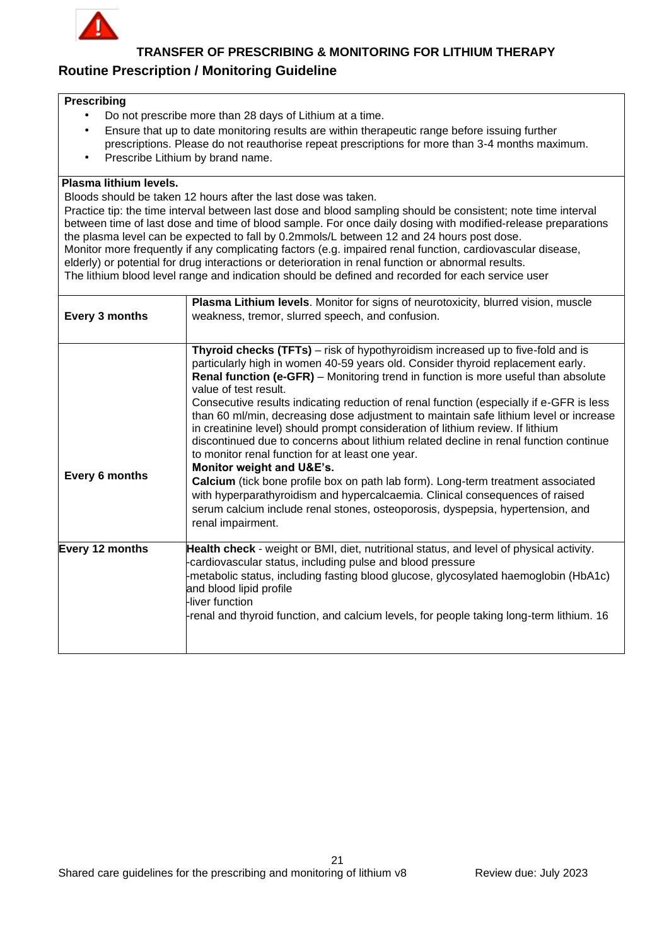

# **TRANSFER OF PRESCRIBING & MONITORING FOR LITHIUM THERAPY**

# **Routine Prescription / Monitoring Guideline**

#### **Prescribing**

- Do not prescribe more than 28 days of Lithium at a time.
- Ensure that up to date monitoring results are within therapeutic range before issuing further prescriptions. Please do not reauthorise repeat prescriptions for more than 3-4 months maximum.
- Prescribe Lithium by brand name.

# **Plasma lithium levels.**

Bloods should be taken 12 hours after the last dose was taken.

Practice tip: the time interval between last dose and blood sampling should be consistent; note time interval between time of last dose and time of blood sample. For once daily dosing with modified-release preparations the plasma level can be expected to fall by 0.2mmols/L between 12 and 24 hours post dose. Monitor more frequently if any complicating factors (e.g. impaired renal function, cardiovascular disease, elderly) or potential for drug interactions or deterioration in renal function or abnormal results. The lithium blood level range and indication should be defined and recorded for each service user

| Every 3 months  | Plasma Lithium levels. Monitor for signs of neurotoxicity, blurred vision, muscle<br>weakness, tremor, slurred speech, and confusion.                                                                                                                                                                                                                                                                                                                                                                                                                                                                                                                                                                                                                                                                                                                                                                                                                                                                                      |
|-----------------|----------------------------------------------------------------------------------------------------------------------------------------------------------------------------------------------------------------------------------------------------------------------------------------------------------------------------------------------------------------------------------------------------------------------------------------------------------------------------------------------------------------------------------------------------------------------------------------------------------------------------------------------------------------------------------------------------------------------------------------------------------------------------------------------------------------------------------------------------------------------------------------------------------------------------------------------------------------------------------------------------------------------------|
| Every 6 months  | Thyroid checks (TFTs) – risk of hypothyroidism increased up to five-fold and is<br>particularly high in women 40-59 years old. Consider thyroid replacement early.<br><b>Renal function (e-GFR)</b> – Monitoring trend in function is more useful than absolute<br>value of test result.<br>Consecutive results indicating reduction of renal function (especially if e-GFR is less<br>than 60 ml/min, decreasing dose adjustment to maintain safe lithium level or increase<br>in creatinine level) should prompt consideration of lithium review. If lithium<br>discontinued due to concerns about lithium related decline in renal function continue<br>to monitor renal function for at least one year.<br>Monitor weight and U&E's.<br><b>Calcium</b> (tick bone profile box on path lab form). Long-term treatment associated<br>with hyperparathyroidism and hypercalcaemia. Clinical consequences of raised<br>serum calcium include renal stones, osteoporosis, dyspepsia, hypertension, and<br>renal impairment. |
| Every 12 months | Health check - weight or BMI, diet, nutritional status, and level of physical activity.<br>-cardiovascular status, including pulse and blood pressure<br>-metabolic status, including fasting blood glucose, glycosylated haemoglobin (HbA1c)<br>and blood lipid profile<br><b>Lliver function</b><br>-renal and thyroid function, and calcium levels, for people taking long-term lithium. 16                                                                                                                                                                                                                                                                                                                                                                                                                                                                                                                                                                                                                             |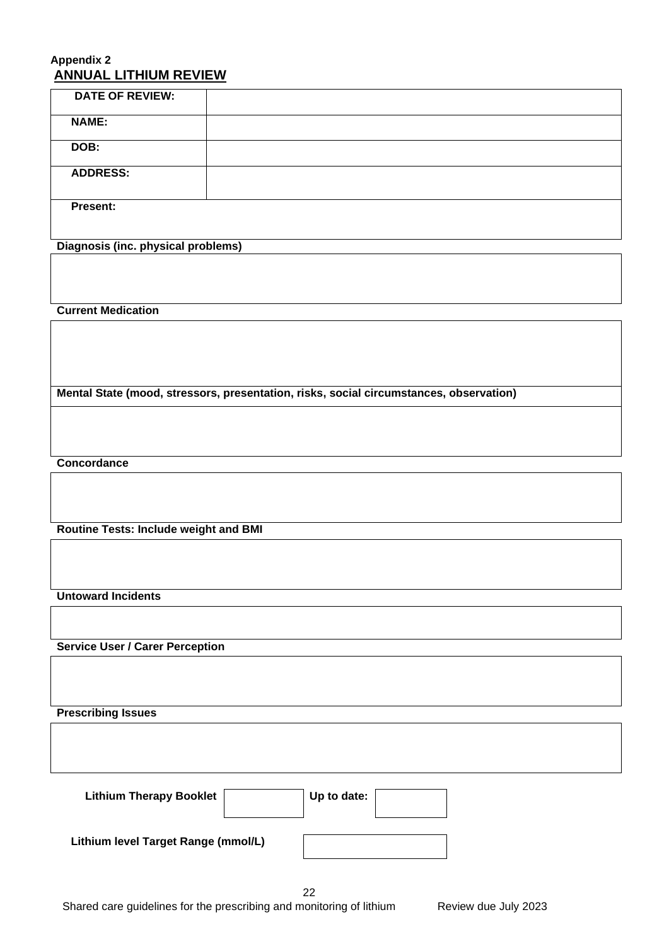# **Appendix 2 ANNUAL LITHIUM REVIEW**

| <b>DATE OF REVIEW:</b> |  |
|------------------------|--|
| <b>NAME:</b>           |  |
| DOB:                   |  |
| <b>ADDRESS:</b>        |  |
| <b>Present:</b>        |  |

**Diagnosis (inc. physical problems)**

**Current Medication**

**Mental State (mood, stressors, presentation, risks, social circumstances, observation)** 

**Concordance**

**Routine Tests: Include weight and BMI**

**Untoward Incidents**

**Service User / Carer Perception**

**Prescribing Issues**

| <b>Lithium Therapy Booklet</b>      |  | Up to date: |  |
|-------------------------------------|--|-------------|--|
| Lithium level Target Range (mmol/L) |  |             |  |

22 Shared care guidelines for the prescribing and monitoring of lithium Review due July 2023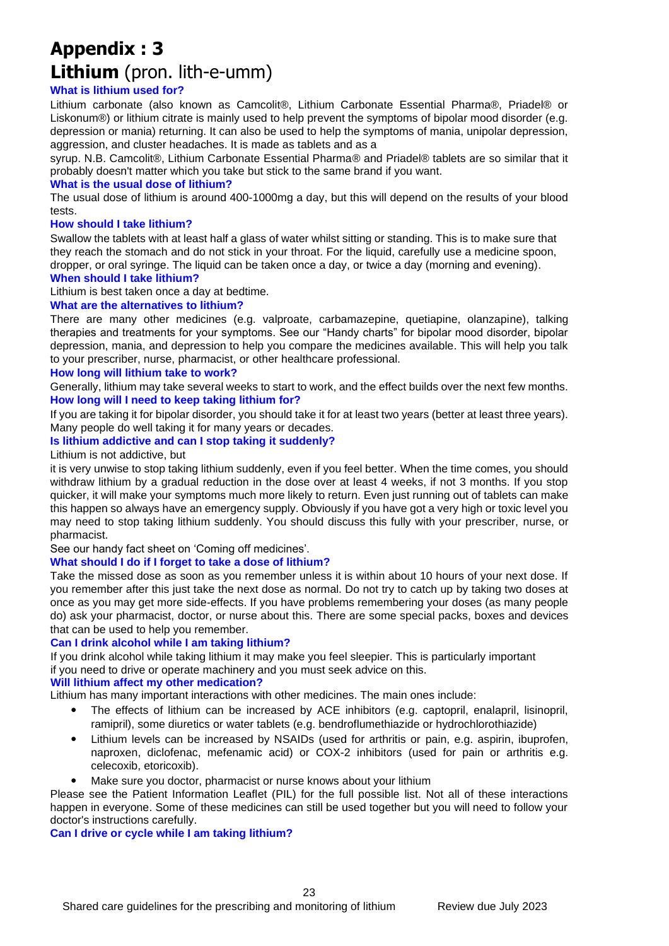# **Appendix : 3**

# **Lithium** (pron. lith-e-umm)

# **What is lithium used for?**

Lithium carbonate (also known as Camcolit®, Lithium Carbonate Essential Pharma®, Priadel® or Liskonum®) or lithium citrate is mainly used to help prevent the symptoms of bipolar mood disorder (e.g. depression or mania) returning. It can also be used to help the symptoms of mania, unipolar depression, aggression, and cluster headaches. It is made as tablets and as a

syrup. N.B. Camcolit®, Lithium Carbonate Essential Pharma® and Priadel® tablets are so similar that it probably doesn't matter which you take but stick to the same brand if you want.

#### **What is the usual dose of lithium?**

The usual dose of lithium is around 400-1000mg a day, but this will depend on the results of your blood tests.

#### **How should I take lithium?**

Swallow the tablets with at least half a glass of water whilst sitting or standing. This is to make sure that they reach the stomach and do not stick in your throat. For the liquid, carefully use a medicine spoon, dropper, or oral syringe. The liquid can be taken once a day, or twice a day (morning and evening). **When should I take lithium?** 

#### Lithium is best taken once a day at bedtime.

#### **What are the alternatives to lithium?**

There are many other medicines (e.g. valproate, carbamazepine, quetiapine, olanzapine), talking therapies and treatments for your symptoms. See our "Handy charts" for bipolar mood disorder, bipolar depression, mania, and depression to help you compare the medicines available. This will help you talk to your prescriber, nurse, pharmacist, or other healthcare professional.

#### **How long will lithium take to work?**

Generally, lithium may take several weeks to start to work, and the effect builds over the next few months. **How long will I need to keep taking lithium for?** 

If you are taking it for bipolar disorder, you should take it for at least two years (better at least three years). Many people do well taking it for many years or decades.

#### **Is lithium addictive and can I stop taking it suddenly?**

#### Lithium is not addictive, but

it is very unwise to stop taking lithium suddenly, even if you feel better. When the time comes, you should withdraw lithium by a gradual reduction in the dose over at least 4 weeks, if not 3 months. If you stop quicker, it will make your symptoms much more likely to return. Even just running out of tablets can make this happen so always have an emergency supply. Obviously if you have got a very high or toxic level you may need to stop taking lithium suddenly. You should discuss this fully with your prescriber, nurse, or pharmacist.

See our handy fact sheet on 'Coming off medicines'.

#### **What should I do if I forget to take a dose of lithium?**

Take the missed dose as soon as you remember unless it is within about 10 hours of your next dose. If you remember after this just take the next dose as normal. Do not try to catch up by taking two doses at once as you may get more side-effects. If you have problems remembering your doses (as many people do) ask your pharmacist, doctor, or nurse about this. There are some special packs, boxes and devices that can be used to help you remember.

#### **Can I drink alcohol while I am taking lithium?**

If you drink alcohol while taking lithium it may make you feel sleepier. This is particularly important if you need to drive or operate machinery and you must seek advice on this.

# **Will lithium affect my other medication?**

Lithium has many important interactions with other medicines. The main ones include:

- The effects of lithium can be increased by ACE inhibitors (e.g. captopril, enalapril, lisinopril, ramipril), some diuretics or water tablets (e.g. bendroflumethiazide or hydrochlorothiazide)
- Lithium levels can be increased by NSAIDs (used for arthritis or pain, e.g. aspirin, ibuprofen, naproxen, diclofenac, mefenamic acid) or COX-2 inhibitors (used for pain or arthritis e.g. celecoxib, etoricoxib).
- Make sure you doctor, pharmacist or nurse knows about your lithium

Please see the Patient Information Leaflet (PIL) for the full possible list. Not all of these interactions happen in everyone. Some of these medicines can still be used together but you will need to follow your doctor's instructions carefully.

#### **Can I drive or cycle while I am taking lithium?**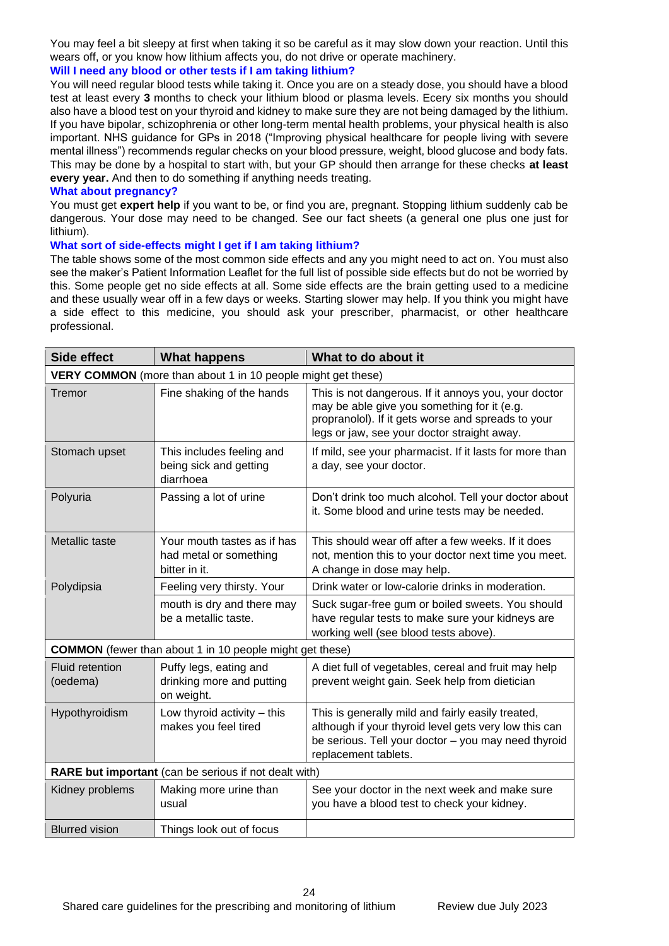You may feel a bit sleepy at first when taking it so be careful as it may slow down your reaction. Until this wears off, or you know how lithium affects you, do not drive or operate machinery.

# **Will I need any blood or other tests if I am taking lithium?**

You will need regular blood tests while taking it. Once you are on a steady dose, you should have a blood test at least every **3** months to check your lithium blood or plasma levels. Ecery six months you should also have a blood test on your thyroid and kidney to make sure they are not being damaged by the lithium. If you have bipolar, schizophrenia or other long-term mental health problems, your physical health is also important. NHS guidance for GPs in 2018 ("Improving physical healthcare for people living with severe mental illness") recommends regular checks on your blood pressure, weight, blood glucose and body fats. This may be done by a hospital to start with, but your GP should then arrange for these checks **at least every year.** And then to do something if anything needs treating.

#### **What about pregnancy?**

You must get **expert help** if you want to be, or find you are, pregnant. Stopping lithium suddenly cab be dangerous. Your dose may need to be changed. See our fact sheets (a general one plus one just for lithium).

#### **What sort of side-effects might I get if I am taking lithium?**

The table shows some of the most common side effects and any you might need to act on. You must also see the maker's Patient Information Leaflet for the full list of possible side effects but do not be worried by this. Some people get no side effects at all. Some side effects are the brain getting used to a medicine and these usually wear off in a few days or weeks. Starting slower may help. If you think you might have a side effect to this medicine, you should ask your prescriber, pharmacist, or other healthcare professional.

| <b>Side effect</b>                                                  | <b>What happens</b>                                                    | What to do about it                                                                                                                                                                                      |  |
|---------------------------------------------------------------------|------------------------------------------------------------------------|----------------------------------------------------------------------------------------------------------------------------------------------------------------------------------------------------------|--|
| <b>VERY COMMON</b> (more than about 1 in 10 people might get these) |                                                                        |                                                                                                                                                                                                          |  |
| Tremor                                                              | Fine shaking of the hands                                              | This is not dangerous. If it annoys you, your doctor<br>may be able give you something for it (e.g.<br>propranolol). If it gets worse and spreads to your<br>legs or jaw, see your doctor straight away. |  |
| Stomach upset                                                       | This includes feeling and<br>being sick and getting<br>diarrhoea       | If mild, see your pharmacist. If it lasts for more than<br>a day, see your doctor.                                                                                                                       |  |
| Polyuria                                                            | Passing a lot of urine                                                 | Don't drink too much alcohol. Tell your doctor about<br>it. Some blood and urine tests may be needed.                                                                                                    |  |
| Metallic taste                                                      | Your mouth tastes as if has<br>had metal or something<br>bitter in it. | This should wear off after a few weeks. If it does<br>not, mention this to your doctor next time you meet.<br>A change in dose may help.                                                                 |  |
| Polydipsia                                                          | Feeling very thirsty. Your                                             | Drink water or low-calorie drinks in moderation.                                                                                                                                                         |  |
|                                                                     | mouth is dry and there may<br>be a metallic taste.                     | Suck sugar-free gum or boiled sweets. You should<br>have regular tests to make sure your kidneys are<br>working well (see blood tests above).                                                            |  |
| <b>COMMON</b> (fewer than about 1 in 10 people might get these)     |                                                                        |                                                                                                                                                                                                          |  |
| <b>Fluid retention</b><br>(oedema)                                  | Puffy legs, eating and<br>drinking more and putting<br>on weight.      | A diet full of vegetables, cereal and fruit may help<br>prevent weight gain. Seek help from dietician                                                                                                    |  |
| Hypothyroidism                                                      | Low thyroid activity - this<br>makes you feel tired                    | This is generally mild and fairly easily treated,<br>although if your thyroid level gets very low this can<br>be serious. Tell your doctor - you may need thyroid<br>replacement tablets.                |  |
| RARE but important (can be serious if not dealt with)               |                                                                        |                                                                                                                                                                                                          |  |
| Kidney problems                                                     | Making more urine than<br>usual                                        | See your doctor in the next week and make sure<br>you have a blood test to check your kidney.                                                                                                            |  |
| <b>Blurred vision</b>                                               | Things look out of focus                                               |                                                                                                                                                                                                          |  |